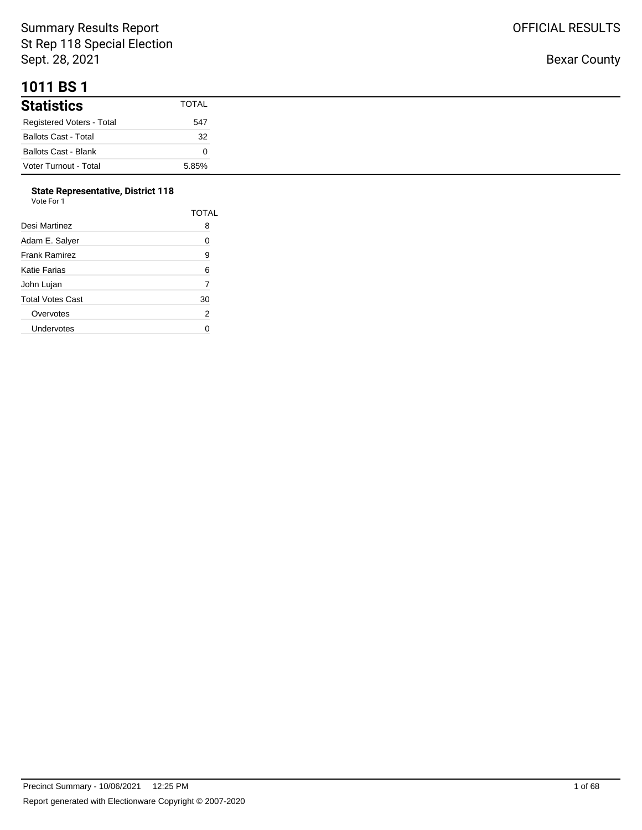## **1011 BS 1**

| <b>Statistics</b>           | TOTAL |
|-----------------------------|-------|
| Registered Voters - Total   | 547   |
| <b>Ballots Cast - Total</b> | 32    |
| Ballots Cast - Blank        |       |
| Voter Turnout - Total       | 5.85% |

#### **State Representative, District 118**

| Vote For 1              |              |
|-------------------------|--------------|
|                         | <b>TOTAL</b> |
| Desi Martinez           | 8            |
| Adam E. Salyer          | 0            |
| <b>Frank Ramirez</b>    | 9            |
| Katie Farias            | 6            |
| John Lujan              | 7            |
| <b>Total Votes Cast</b> | 30           |
| Overvotes               | 2            |
| Undervotes              | ი            |
|                         |              |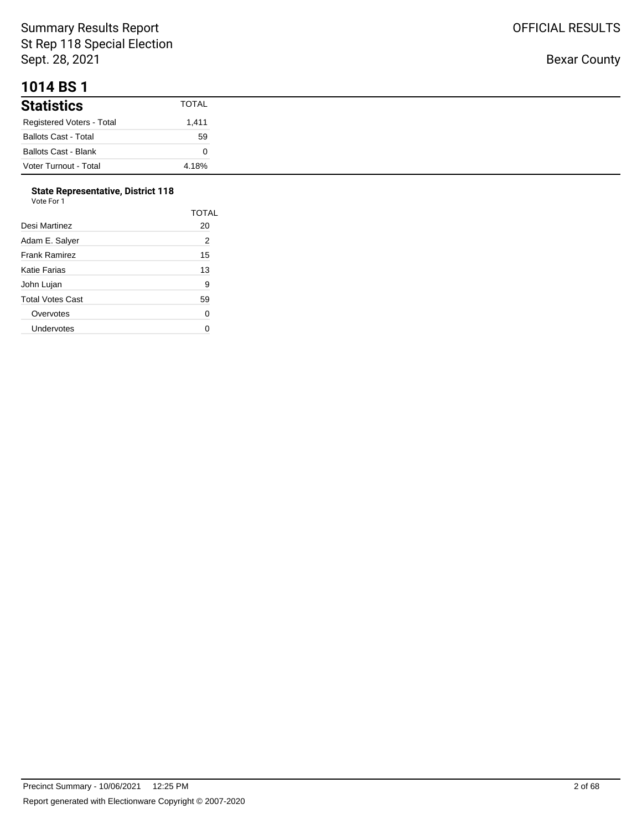#### **1014 BS 1**

| <b>Statistics</b>           | <b>TOTAL</b> |
|-----------------------------|--------------|
| Registered Voters - Total   | 1,411        |
| <b>Ballots Cast - Total</b> | 59           |
| <b>Ballots Cast - Blank</b> |              |
| Voter Turnout - Total       | 4.18%        |

## **State Representative, District 118**

| Vote For 1 |  |  |
|------------|--|--|
|------------|--|--|

|                  | TOTAL |
|------------------|-------|
| Desi Martinez    | 20    |
| Adam E. Salyer   | 2     |
| Frank Ramirez    | 15    |
| Katie Farias     | 13    |
| John Lujan       | 9     |
| Total Votes Cast | 59    |
| Overvotes        | 0     |
| Undervotes       |       |
|                  |       |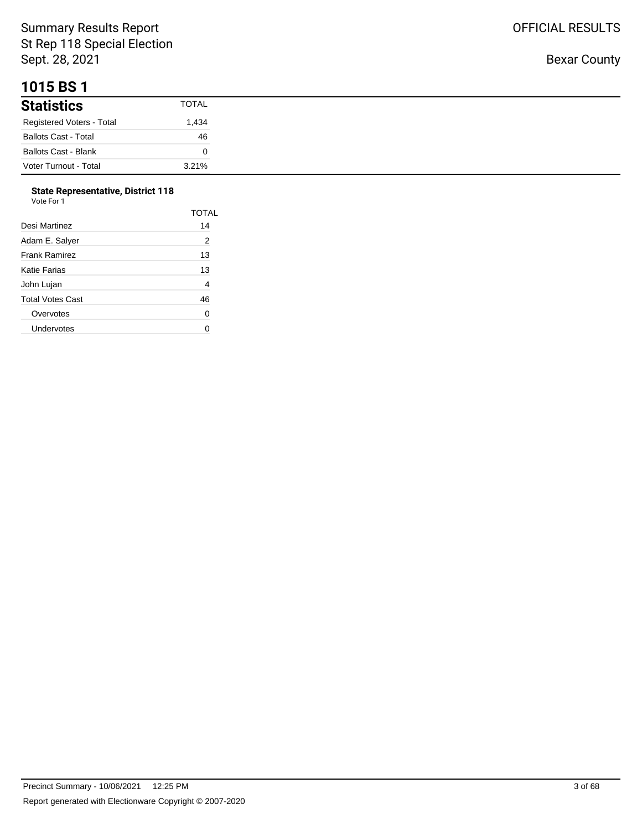## **1015 BS 1**

| <b>Statistics</b>           | TOTAL |
|-----------------------------|-------|
| Registered Voters - Total   | .434  |
| <b>Ballots Cast - Total</b> | 46    |
| <b>Ballots Cast - Blank</b> |       |
| Voter Turnout - Total       | 3.21% |

#### **State Representative, District 118**  $V<sub>0</sub>$

| ote For |  |
|---------|--|

| TOTAL |
|-------|
| 14    |
| 2     |
| 13    |
| 13    |
| 4     |
| 46    |
| 0     |
|       |
|       |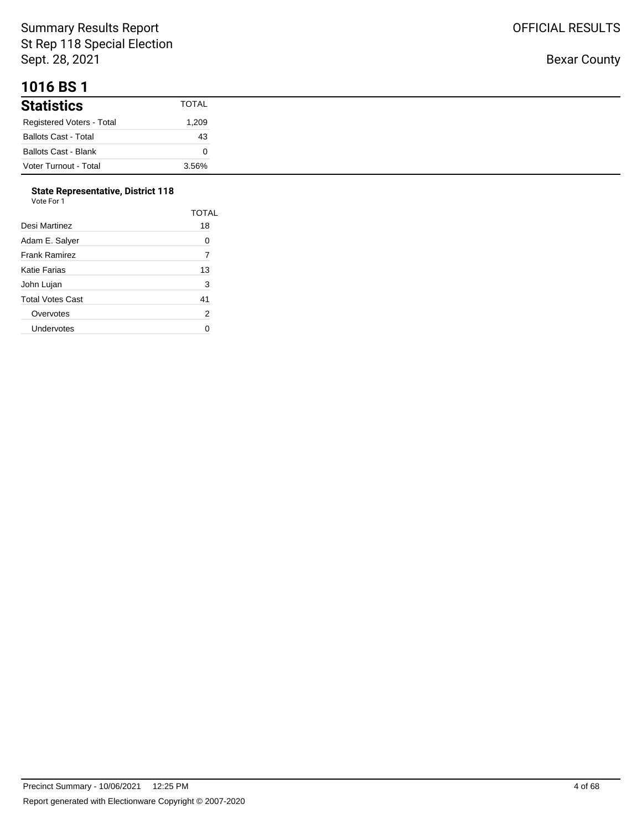## **1016 BS 1**

| .                           |              |
|-----------------------------|--------------|
| <b>Statistics</b>           | <b>TOTAL</b> |
| Registered Voters - Total   | 1,209        |
| <b>Ballots Cast - Total</b> | 43           |
| <b>Ballots Cast - Blank</b> |              |
| Voter Turnout - Total       | 3.56%        |

#### **State Representative, District 118**

| Vote For 1              |                |
|-------------------------|----------------|
|                         | TOTAL          |
| Desi Martinez           | 18             |
| Adam E. Salver          | 0              |
| <b>Frank Ramirez</b>    | 7              |
| <b>Katie Farias</b>     | 13             |
| John Lujan              | 3              |
| <b>Total Votes Cast</b> | 41             |
| Overvotes               | $\overline{2}$ |
| Undervotes              |                |

Bexar County

OFFICIAL RESULTS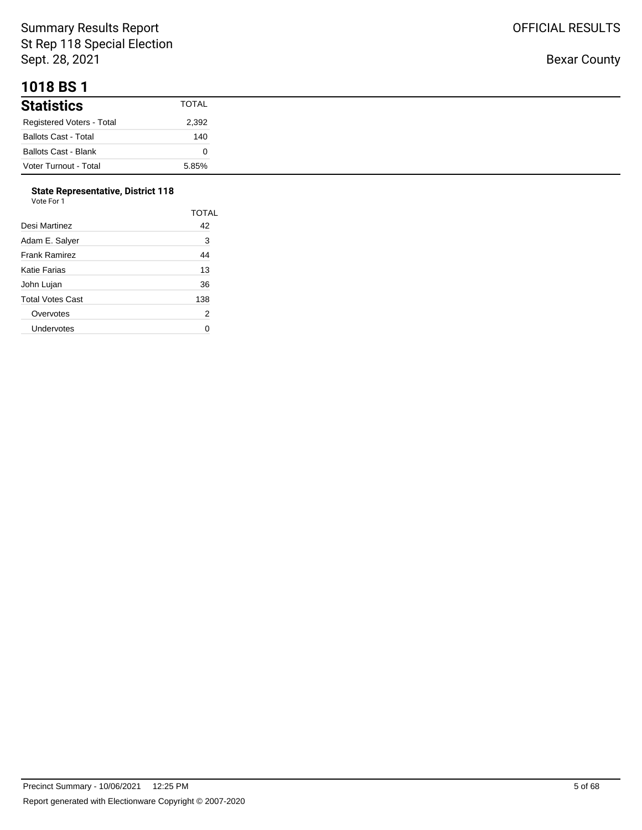#### **1018 BS 1**

| <b>Statistics</b>           | <b>TOTAL</b> |
|-----------------------------|--------------|
| Registered Voters - Total   | 2,392        |
| <b>Ballots Cast - Total</b> | 140          |
| <b>Ballots Cast - Blank</b> |              |
| Voter Turnout - Total       | 5.85%        |

# **State Representative, District 118**

| Vote For 1 |  |
|------------|--|
|------------|--|

|                  | TOTAL |
|------------------|-------|
| Desi Martinez    | 42    |
| Adam E. Salyer   | 3     |
| Frank Ramirez    | 44    |
| Katie Farias     | 13    |
| John Lujan       | 36    |
| Total Votes Cast | 138   |
| Overvotes        | 2     |
| Undervotes       |       |
|                  |       |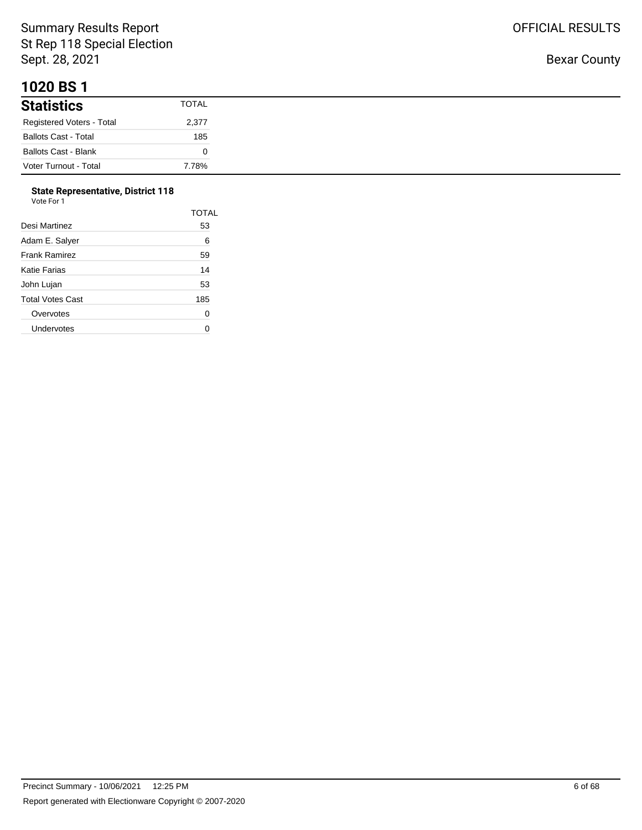#### **1020 BS 1**

| <b>Statistics</b>           | <b>TOTAL</b> |
|-----------------------------|--------------|
| Registered Voters - Total   | 2,377        |
| <b>Ballots Cast - Total</b> | 185          |
| <b>Ballots Cast - Blank</b> |              |
| Voter Turnout - Total       | 7.78%        |

#### **State Representative, District 118**  $V<sub>0</sub>$

|                      | <b>TOTAL</b> |
|----------------------|--------------|
| Desi Martinez        | 53           |
| Adam E. Salver       | 6            |
| <b>Frank Ramirez</b> | 59           |
| Katie Farias         | 14           |
| John Lujan           | 53           |
| Total Votes Cast     | 185          |
| Overvotes            | 0            |
| Undervotes           |              |
|                      |              |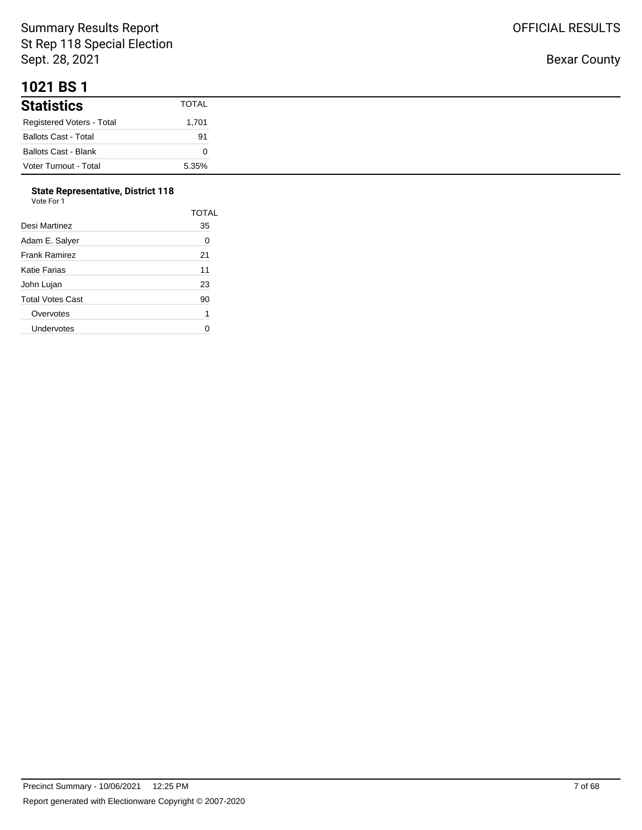## **1021 BS 1**

| <b>Statistics</b>           | <b>TOTAL</b> |
|-----------------------------|--------------|
| Registered Voters - Total   | 1,701        |
| <b>Ballots Cast - Total</b> | 91           |
| <b>Ballots Cast - Blank</b> |              |
| Voter Turnout - Total       | 5.35%        |

#### **State Representative, District 118**  $V<sub>0</sub>$

| nr<br>nтe<br>× |  |
|----------------|--|

|                  | TOTAL |
|------------------|-------|
| Desi Martinez    | 35    |
| Adam E. Salyer   | 0     |
| Frank Ramirez    | 21    |
| Katie Farias     | 11    |
| John Lujan       | 23    |
| Total Votes Cast | 90    |
| Overvotes        | 1     |
| Undervotes       |       |
|                  |       |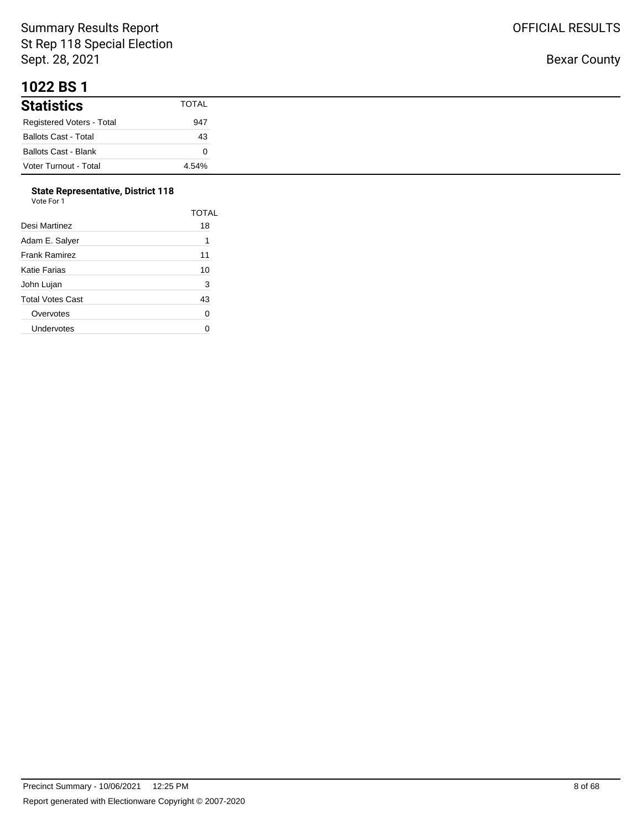#### **1022 BS 1**

| .                           |              |
|-----------------------------|--------------|
| <b>Statistics</b>           | <b>TOTAL</b> |
| Registered Voters - Total   | 947          |
| <b>Ballots Cast - Total</b> | 43           |
| <b>Ballots Cast - Blank</b> |              |
| Voter Turnout - Total       | 4.54%        |

## **State Representative, District 118**

| Vote For 1 |
|------------|
|------------|

|                      | <b>TOTAL</b> |
|----------------------|--------------|
| Desi Martinez        | 18           |
| Adam E. Salyer       | 1            |
| <b>Frank Ramirez</b> | 11           |
| Katie Farias         | 10           |
| John Lujan           | 3            |
| Total Votes Cast     | 43           |
| Overvotes            | 0            |
| Undervotes           |              |
|                      |              |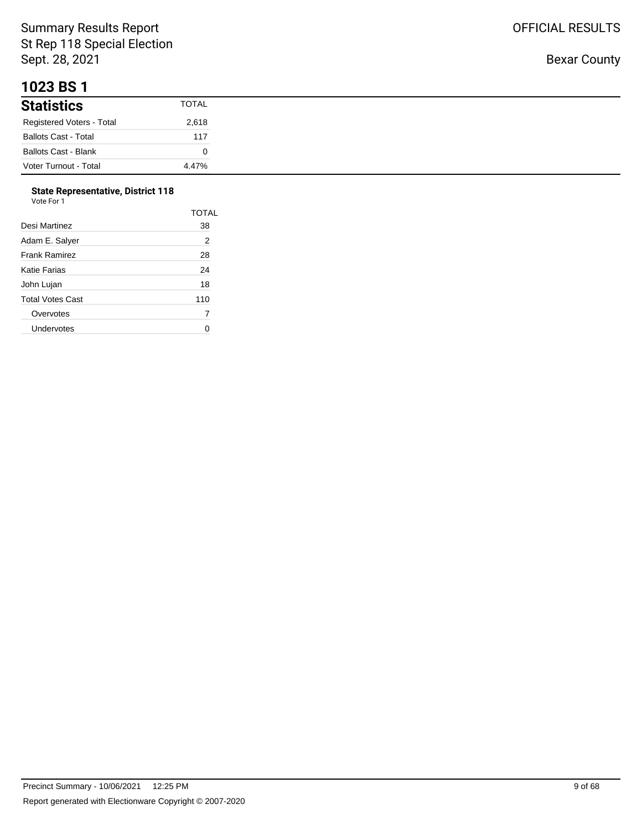#### **1023 BS 1**

| <b>Statistics</b>           | <b>TOTAL</b> |
|-----------------------------|--------------|
| Registered Voters - Total   | 2,618        |
| <b>Ballots Cast - Total</b> | 117          |
| <b>Ballots Cast - Blank</b> |              |
| Voter Turnout - Total       | 4.47%        |

## **State Representative, District 118**

| Vote For 1 |  |
|------------|--|
|            |  |

|                      | <b>TOTAL</b> |
|----------------------|--------------|
| Desi Martinez        | 38           |
| Adam E. Salyer       | 2            |
| <b>Frank Ramirez</b> | 28           |
| Katie Farias         | 24           |
| John Lujan           | 18           |
| Total Votes Cast     | 110          |
| Overvotes            | 7            |
| Undervotes           |              |
|                      |              |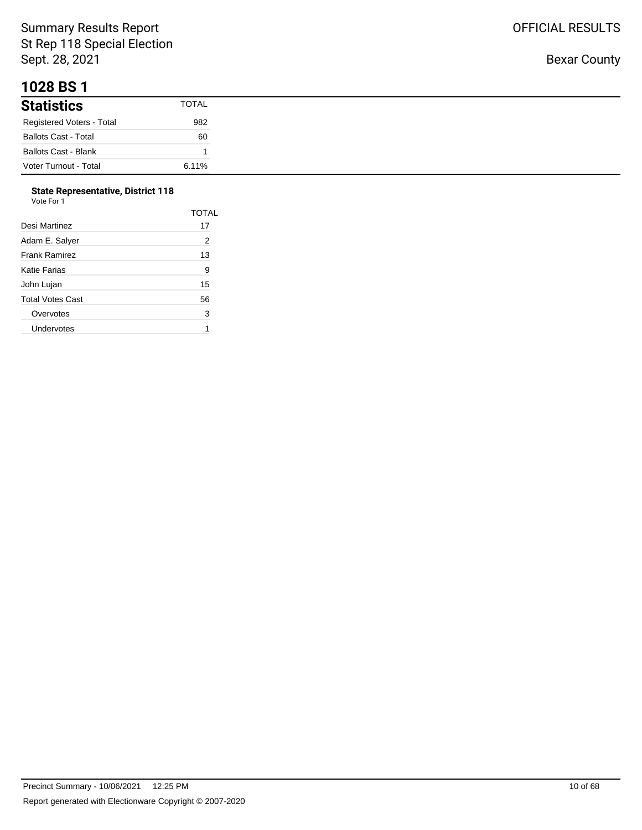#### **1028 BS 1**

| <b>Statistics</b>           | <b>TOTAL</b> |
|-----------------------------|--------------|
| Registered Voters - Total   | 982          |
| <b>Ballots Cast - Total</b> | 60           |
| <b>Ballots Cast - Blank</b> |              |
| Voter Turnout - Total       | 6.11%        |

# **State Representative, District 118**

| Vote For 1 |  |
|------------|--|

| TOTAL |
|-------|
| 17    |
| 2     |
| 13    |
| 9     |
| 15    |
| 56    |
| 3     |
|       |
|       |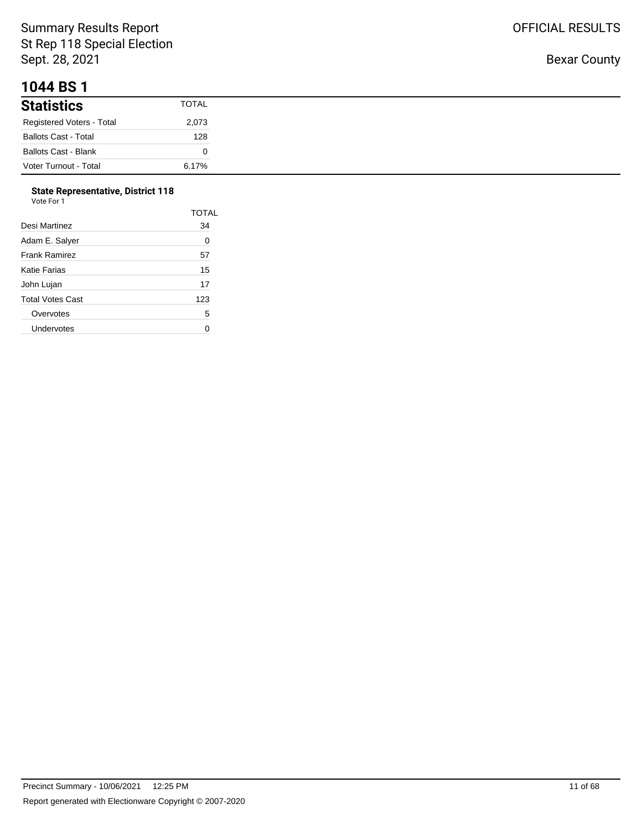#### **1044 BS 1**

| <b>Statistics</b>           | <b>TOTAL</b> |
|-----------------------------|--------------|
| Registered Voters - Total   | 2,073        |
| <b>Ballots Cast - Total</b> | 128          |
| <b>Ballots Cast - Blank</b> |              |
| Voter Turnout - Total       | 6.17%        |

# **State Representative, District 118**

| Vote For 1 |
|------------|
|------------|

|                      | <b>TOTAL</b> |
|----------------------|--------------|
| Desi Martinez        | 34           |
| Adam E. Salyer       | 0            |
| <b>Frank Ramirez</b> | 57           |
| Katie Farias         | 15           |
| John Lujan           | 17           |
| Total Votes Cast     | 123          |
| Overvotes            | 5            |
| Undervotes           |              |
|                      |              |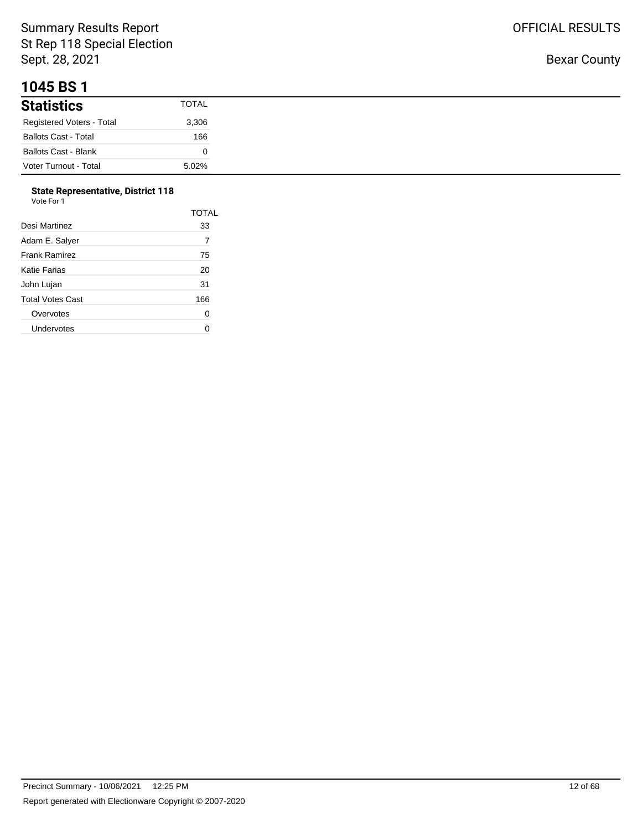## **1045 BS 1**

| .                           |              |
|-----------------------------|--------------|
| <b>Statistics</b>           | <b>TOTAL</b> |
| Registered Voters - Total   | 3,306        |
| <b>Ballots Cast - Total</b> | 166          |
| <b>Ballots Cast - Blank</b> |              |
| Voter Turnout - Total       | 5.02%        |

#### **State Representative, District 118**

| Vote For 1 |  |  |
|------------|--|--|
|            |  |  |

| Desi Martinez    | TOTAL<br>33 |
|------------------|-------------|
| Adam E. Salyer   | 7           |
| Frank Ramirez    | 75          |
| Katie Farias     | 20          |
| John Lujan       | 31          |
| Total Votes Cast | 166         |
| Overvotes        | 0           |
| Undervotes       |             |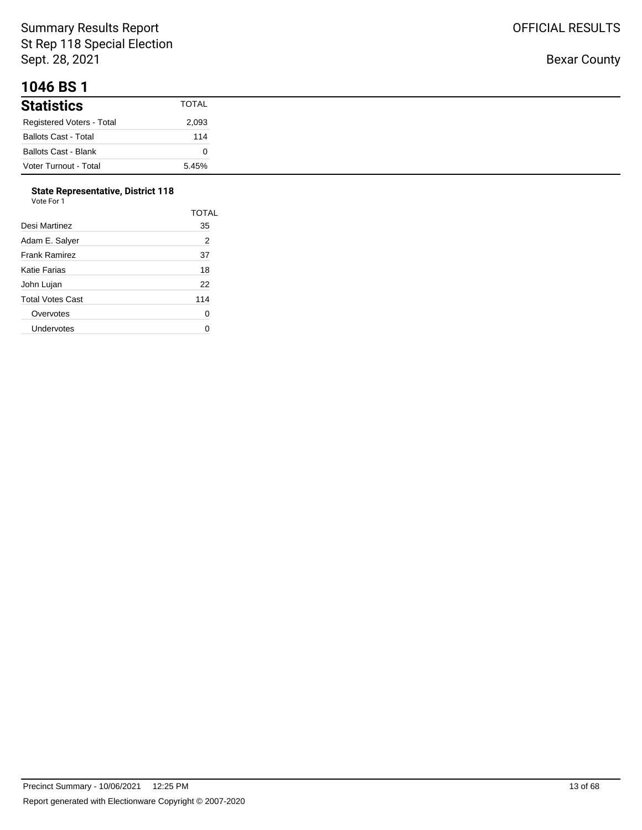## **1046 BS 1**

| .                           |              |
|-----------------------------|--------------|
| <b>Statistics</b>           | <b>TOTAL</b> |
| Registered Voters - Total   | 2,093        |
| <b>Ballots Cast - Total</b> | 114          |
| <b>Ballots Cast - Blank</b> |              |
| Voter Turnout - Total       | 5.45%        |

#### **State Representative, District 118**  $V<sub>0</sub>$

| ote For |  |  |  |
|---------|--|--|--|
|         |  |  |  |

|                  | TOTAL |
|------------------|-------|
| Desi Martinez    | 35    |
| Adam E. Salyer   | 2     |
| Frank Ramirez    | 37    |
| Katie Farias     | 18    |
| John Lujan       | 22    |
| Total Votes Cast | 114   |
| Overvotes        | 0     |
| Undervotes       |       |
|                  |       |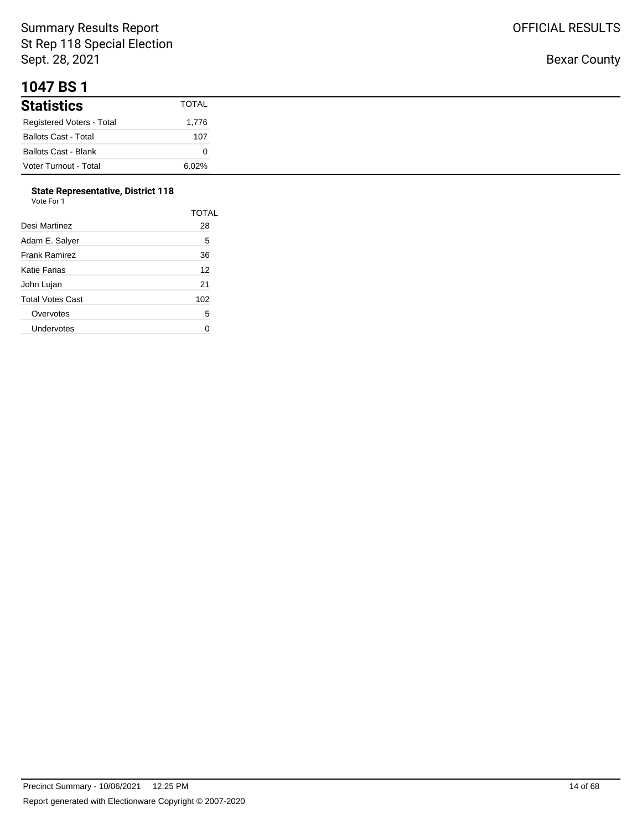#### **1047 BS 1**

| <b>Statistics</b>           | <b>TOTAL</b> |
|-----------------------------|--------------|
| Registered Voters - Total   | 1,776        |
| <b>Ballots Cast - Total</b> | 107          |
| <b>Ballots Cast - Blank</b> |              |
| Voter Turnout - Total       | 6.02%        |

# **State Representative, District 118**

| Vote For 1 |  |  |
|------------|--|--|
|------------|--|--|

|                      | <b>TOTAL</b> |
|----------------------|--------------|
| Desi Martinez        | 28           |
| Adam E. Salyer       | 5            |
| <b>Frank Ramirez</b> | 36           |
| Katie Farias         | 12           |
| John Lujan           | 21           |
| Total Votes Cast     | 102          |
| Overvotes            | 5            |
| Undervotes           |              |
|                      |              |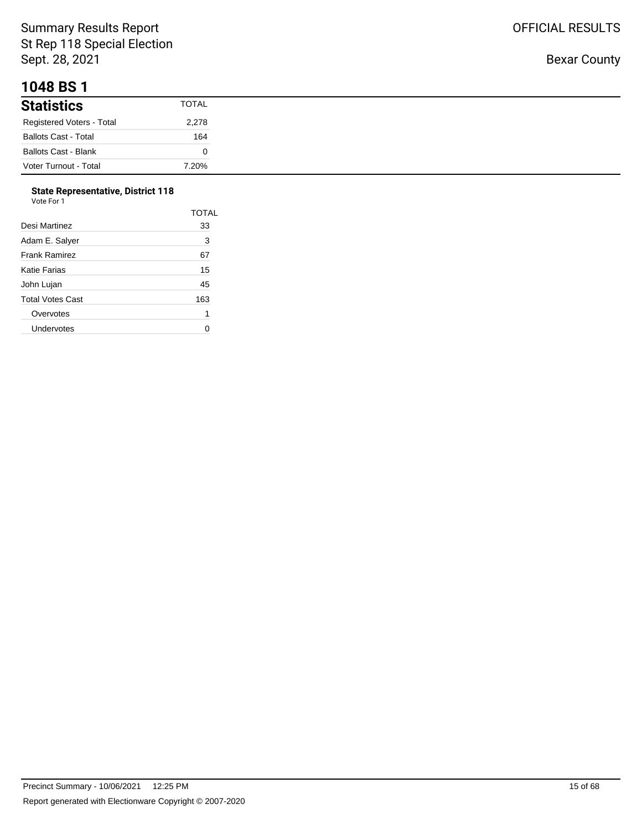#### **1048 BS 1**

| .                           |              |
|-----------------------------|--------------|
| <b>Statistics</b>           | <b>TOTAL</b> |
| Registered Voters - Total   | 2,278        |
| <b>Ballots Cast - Total</b> | 164          |
| <b>Ballots Cast - Blank</b> |              |
| Voter Turnout - Total       | 7.20%        |

# **State Representative, District 118**

| Vote For 1 |  |
|------------|--|
|------------|--|

|                      | TOTAL |
|----------------------|-------|
| Desi Martinez        | 33    |
| Adam E. Salyer       | 3     |
| <b>Frank Ramirez</b> | 67    |
| Katie Farias         | 15    |
| John Lujan           | 45    |
| Total Votes Cast     | 163   |
| Overvotes            | 1     |
| Undervotes           |       |
|                      |       |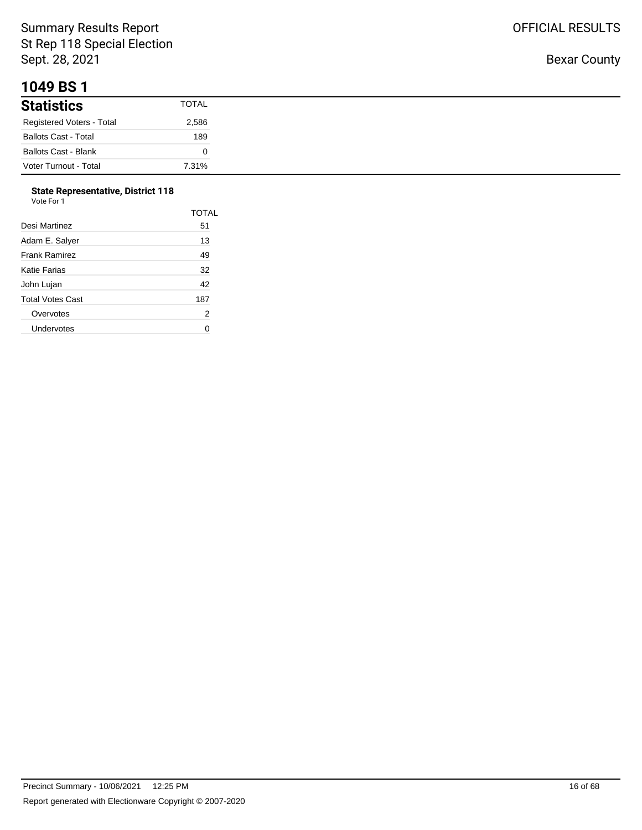#### **1049 BS 1**

| .                           |       |
|-----------------------------|-------|
| <b>Statistics</b>           | TOTAL |
| Registered Voters - Total   | 2,586 |
| <b>Ballots Cast - Total</b> | 189   |
| Ballots Cast - Blank        |       |
| Voter Turnout - Total       | 7.31% |

## **State Representative, District 118**

| Vote For 1 |  |  |
|------------|--|--|
|------------|--|--|

|                      | <b>TOTAL</b> |
|----------------------|--------------|
| Desi Martinez        | 51           |
| Adam E. Salver       | 13           |
| <b>Frank Ramirez</b> | 49           |
| Katie Farias         | 32           |
| John Lujan           | 42           |
| Total Votes Cast     | 187          |
| Overvotes            | 2            |
| Undervotes           |              |
|                      |              |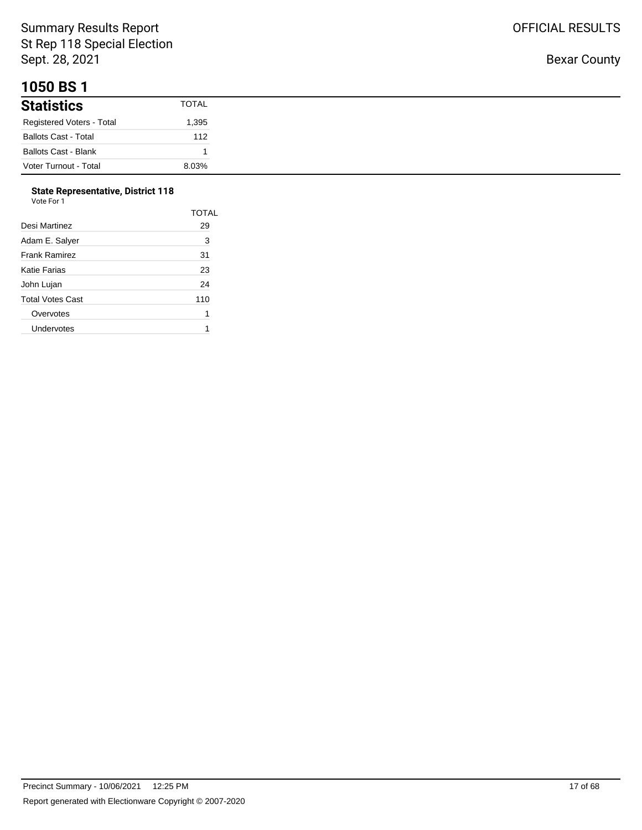## **1050 BS 1**

| <b>Statistics</b>           | <b>TOTAL</b> |
|-----------------------------|--------------|
| Registered Voters - Total   | 1,395        |
| <b>Ballots Cast - Total</b> | 112          |
| <b>Ballots Cast - Blank</b> |              |
| Voter Turnout - Total       | 8.03%        |

## **State Representative, District 118**

| Vote For 1 |  |
|------------|--|
|------------|--|

|                  | TOTAL |
|------------------|-------|
| Desi Martinez    | 29    |
| Adam E. Salyer   | 3     |
| Frank Ramirez    | 31    |
| Katie Farias     | 23    |
| John Lujan       | 24    |
| Total Votes Cast | 110   |
| Overvotes        | 1     |
| Undervotes       |       |
|                  |       |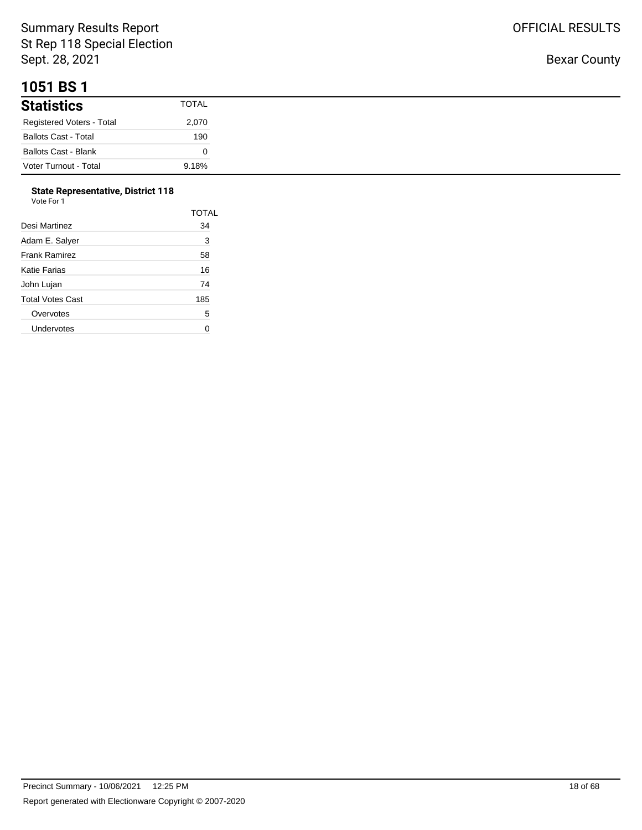## **1051 BS 1**

| <b>Statistics</b>           | TOTAL |
|-----------------------------|-------|
| Registered Voters - Total   | 2,070 |
| <b>Ballots Cast - Total</b> | 190   |
| <b>Ballots Cast - Blank</b> |       |
| Voter Turnout - Total       | 9.18% |

# **State Representative, District 118**

| Vote For 1 |
|------------|
|------------|

|                      | <b>TOTAL</b> |
|----------------------|--------------|
| Desi Martinez        | 34           |
| Adam E. Salyer       | 3            |
| <b>Frank Ramirez</b> | 58           |
| Katie Farias         | 16           |
| John Lujan           | 74           |
| Total Votes Cast     | 185          |
| Overvotes            | 5            |
| Undervotes           |              |
|                      |              |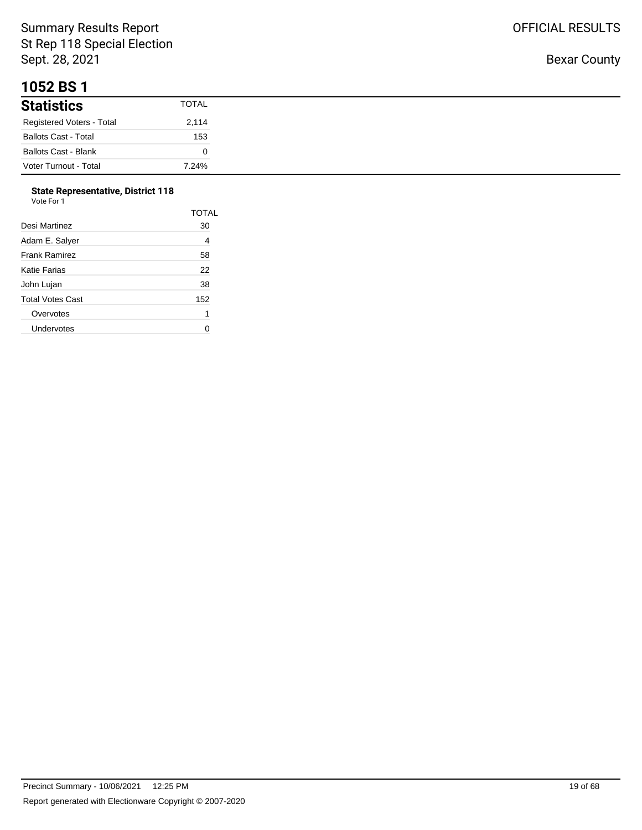#### **1052 BS 1**

| .                           |              |
|-----------------------------|--------------|
| <b>Statistics</b>           | <b>TOTAL</b> |
| Registered Voters - Total   | 2,114        |
| <b>Ballots Cast - Total</b> | 153          |
| <b>Ballots Cast - Blank</b> |              |
| Voter Turnout - Total       | 7.24%        |

## **State Representative, District 118**

| Vote For 1 |  |
|------------|--|
|------------|--|

|                      | <b>TOTAL</b> |
|----------------------|--------------|
| Desi Martinez        | 30           |
| Adam E. Salyer       | 4            |
| <b>Frank Ramirez</b> | 58           |
| Katie Farias         | 22           |
| John Lujan           | 38           |
| Total Votes Cast     | 152          |
| Overvotes            | 1            |
| Undervotes           |              |
|                      |              |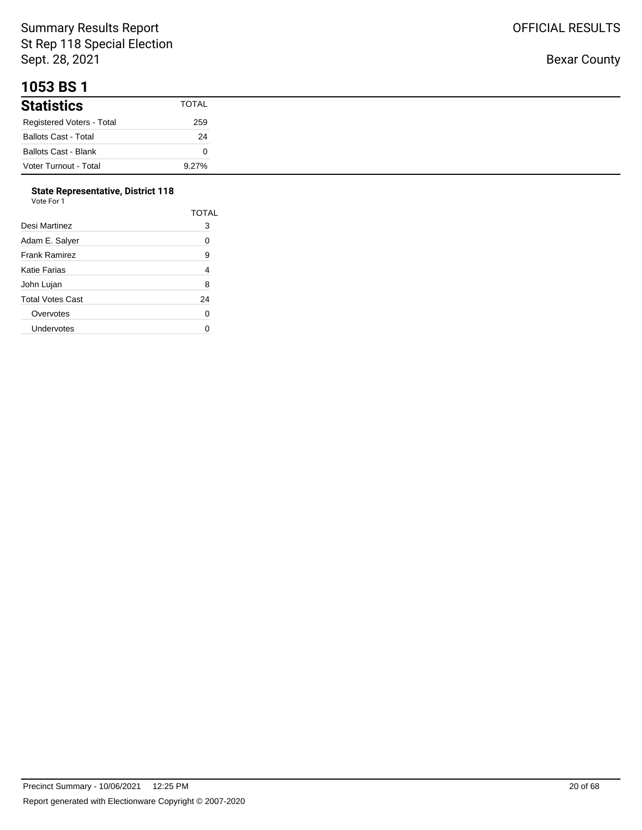#### **1053 BS 1**

| <b>Statistics</b>           | TOTAL |
|-----------------------------|-------|
| Registered Voters - Total   | 259   |
| <b>Ballots Cast - Total</b> | 24    |
| <b>Ballots Cast - Blank</b> |       |
| Voter Turnout - Total       | 9.27% |

#### **State Representative, District 118**

| Vote For 1       |                |  |
|------------------|----------------|--|
|                  | <b>TOTAL</b>   |  |
| Desi Martinez    | 3              |  |
| Adam E. Salyer   | 0              |  |
| Frank Ramirez    | 9              |  |
| Katie Farias     | $\overline{4}$ |  |
| John Lujan       | 8              |  |
| Total Votes Cast | 24             |  |
| Overvotes        | 0              |  |
| Undervotes       |                |  |
|                  |                |  |

Bexar County

OFFICIAL RESULTS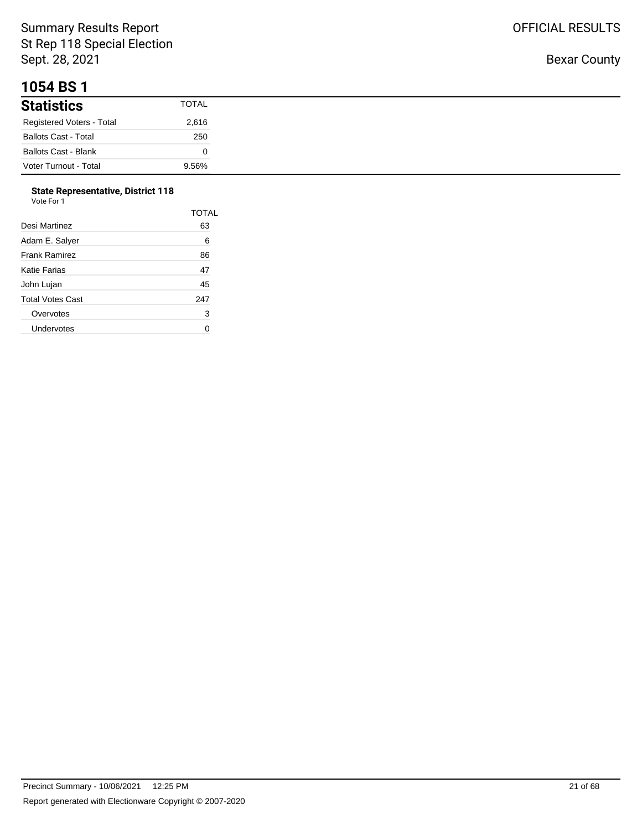#### **1054 BS 1**

| .                           |              |
|-----------------------------|--------------|
| <b>Statistics</b>           | <b>TOTAL</b> |
| Registered Voters - Total   | 2,616        |
| <b>Ballots Cast - Total</b> | 250          |
| <b>Ballots Cast - Blank</b> |              |
| Voter Turnout - Total       | 9.56%        |

#### **State Representative, District 118**  $V<sub>0</sub>$

| ⊦∩r<br>nтe<br>× |  |
|-----------------|--|

|                      | <b>TOTAL</b> |
|----------------------|--------------|
| Desi Martinez        | 63           |
| Adam E. Salver       | 6            |
| <b>Frank Ramirez</b> | 86           |
| Katie Farias         | 47           |
| John Lujan           | 45           |
| Total Votes Cast     | 247          |
| Overvotes            | 3            |
| Undervotes           |              |
|                      |              |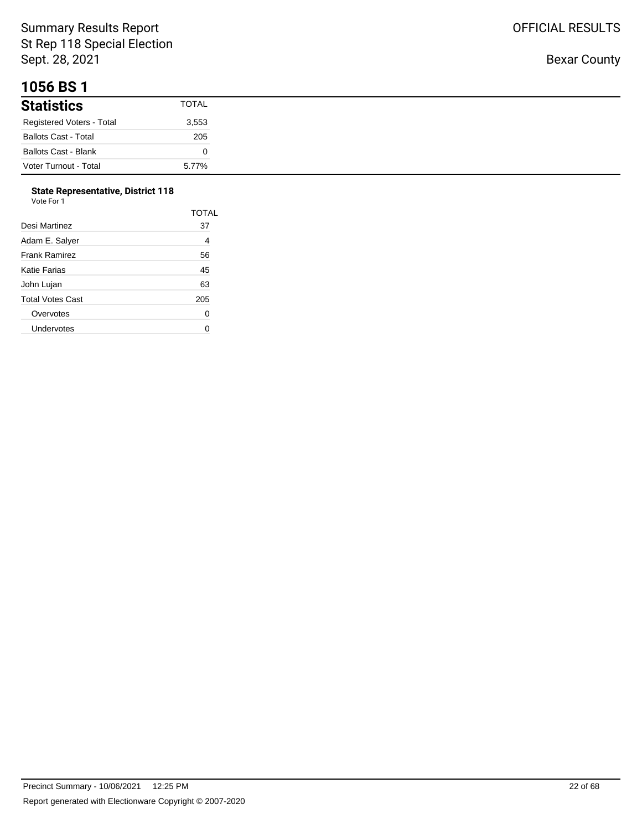## **1056 BS 1**

| <b>Statistics</b>           | <b>TOTAL</b> |
|-----------------------------|--------------|
| Registered Voters - Total   | 3,553        |
| <b>Ballots Cast - Total</b> | 205          |
| <b>Ballots Cast - Blank</b> |              |
| Voter Turnout - Total       | 5.77%        |

# **State Representative, District 118**

| Vote For 1 |
|------------|
|------------|

|                      | <b>TOTAL</b> |
|----------------------|--------------|
| Desi Martinez        | 37           |
| Adam E. Salyer       | 4            |
| <b>Frank Ramirez</b> | 56           |
| Katie Farias         | 45           |
| John Lujan           | 63           |
| Total Votes Cast     | 205          |
| Overvotes            | 0            |
| Undervotes           |              |
|                      |              |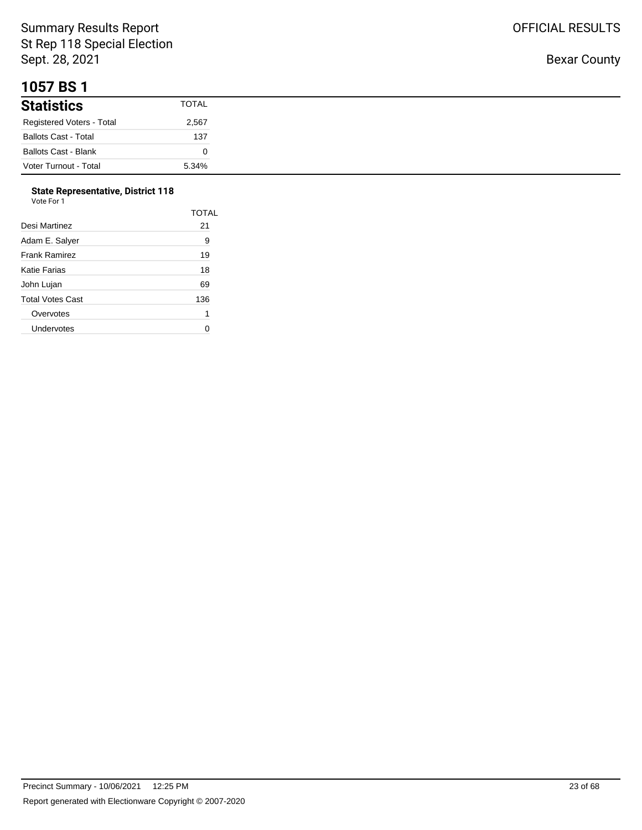#### **1057 BS 1**

| <b>Statistics</b>           | <b>TOTAL</b> |
|-----------------------------|--------------|
| Registered Voters - Total   | 2,567        |
| <b>Ballots Cast - Total</b> | 137          |
| <b>Ballots Cast - Blank</b> |              |
| Voter Turnout - Total       | 5.34%        |

#### **State Representative, District 118**  $V<sub>0</sub>$

|                      | <b>TOTAL</b> |
|----------------------|--------------|
| Desi Martinez        | 21           |
| Adam E. Salver       | 9            |
| <b>Frank Ramirez</b> | 19           |
| Katie Farias         | 18           |
| John Lujan           | 69           |
| Total Votes Cast     | 136          |
| Overvotes            | 1            |
| Undervotes           |              |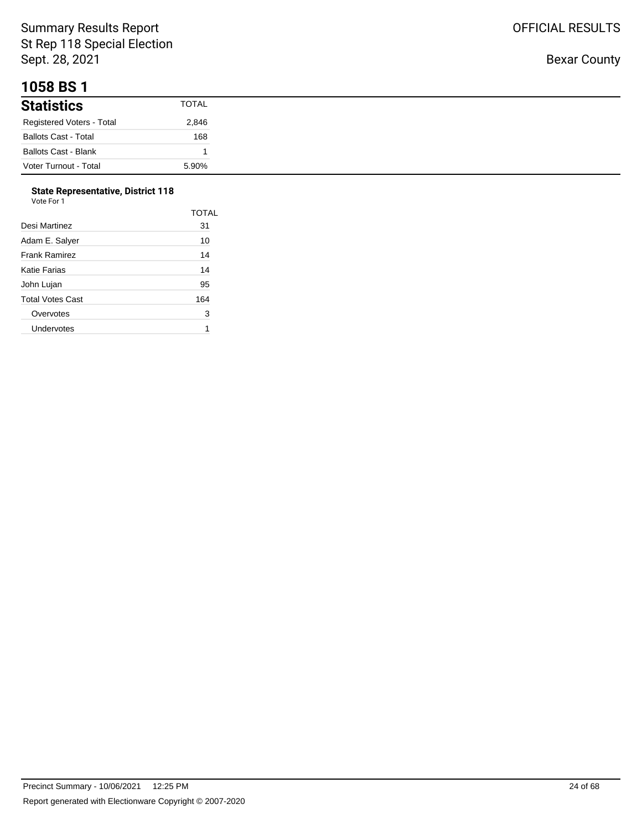#### **1058 BS 1**

| .                                |              |
|----------------------------------|--------------|
| <b>Statistics</b>                | <b>TOTAL</b> |
| <b>Registered Voters - Total</b> | 2,846        |
| <b>Ballots Cast - Total</b>      | 168          |
| <b>Ballots Cast - Blank</b>      |              |
| Voter Turnout - Total            | 5.90%        |

# **State Representative, District 118**

| Vote For 1 |  |
|------------|--|
|------------|--|

|                      | TOTAL |
|----------------------|-------|
| Desi Martinez        | 31    |
| Adam E. Salver       | 10    |
| <b>Frank Ramirez</b> | 14    |
| Katie Farias         | 14    |
| John Lujan           | 95    |
| Total Votes Cast     | 164   |
| Overvotes            | 3     |
| Undervotes           |       |
|                      |       |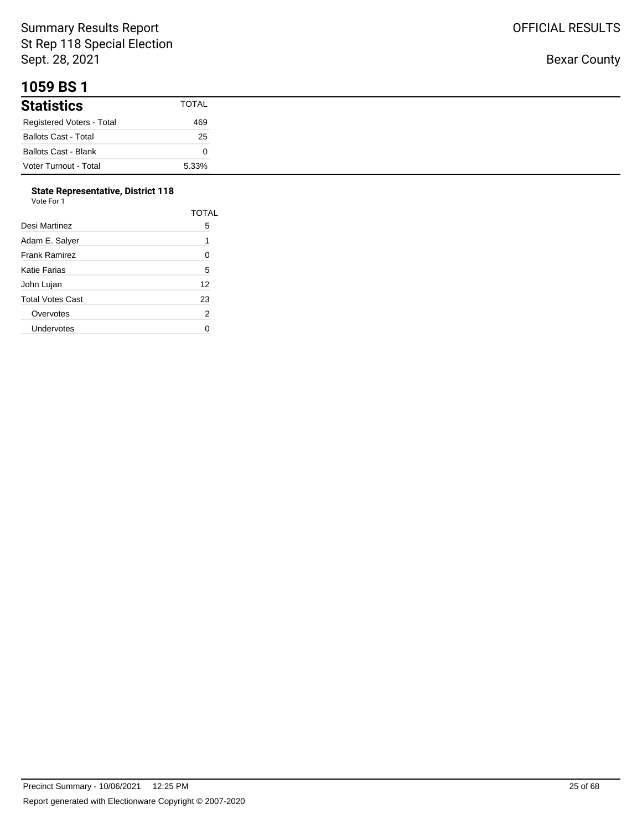## **1059 BS 1**

| <b>Statistics</b>           | TOTAL |
|-----------------------------|-------|
| Registered Voters - Total   | 469   |
| <b>Ballots Cast - Total</b> | 25    |
| <b>Ballots Cast - Blank</b> |       |
| Voter Turnout - Total       | 5.33% |

#### **State Representative, District 118**

| Vote For 1       |                |
|------------------|----------------|
|                  | <b>TOTAL</b>   |
| Desi Martinez    | 5              |
| Adam E. Salyer   | 1              |
| Frank Ramirez    | 0              |
| Katie Farias     | 5              |
| John Lujan       | 12             |
| Total Votes Cast | 23             |
| Overvotes        | $\overline{2}$ |
| Undervotes       | ი              |
|                  |                |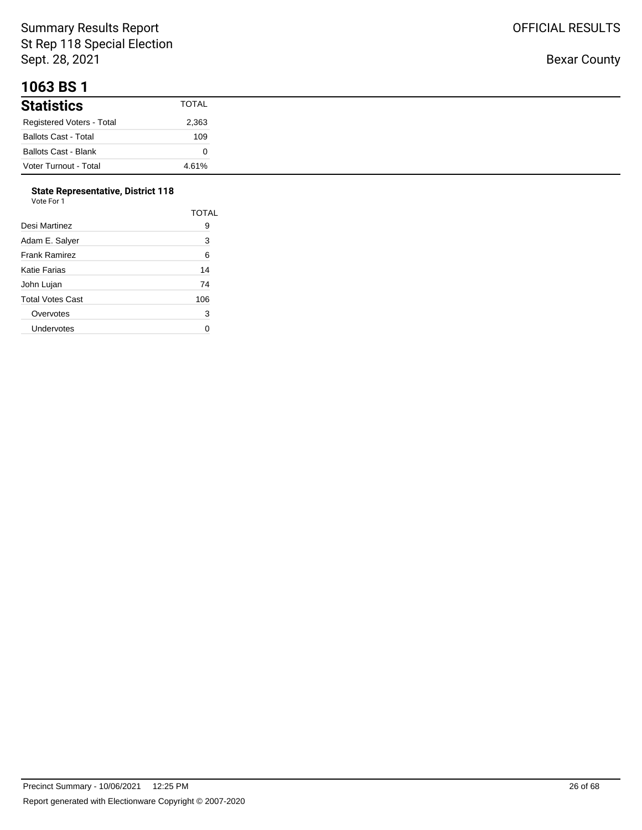## **1063 BS 1**

| <b>Statistics</b>           | TOTAL |
|-----------------------------|-------|
| Registered Voters - Total   | 2,363 |
| <b>Ballots Cast - Total</b> | 109   |
| <b>Ballots Cast - Blank</b> |       |
| Voter Turnout - Total       | 4.61% |

#### **State Representative, District 118**

| Vote For 1              |              |  |
|-------------------------|--------------|--|
|                         | <b>TOTAL</b> |  |
| Desi Martinez           | 9            |  |
| Adam E. Salyer          | 3            |  |
| <b>Frank Ramirez</b>    | 6            |  |
| <b>Katie Farias</b>     | 14           |  |
| John Lujan              | 74           |  |
| <b>Total Votes Cast</b> | 106          |  |
| Overvotes               | 3            |  |
| Undervotes              | 0            |  |
|                         |              |  |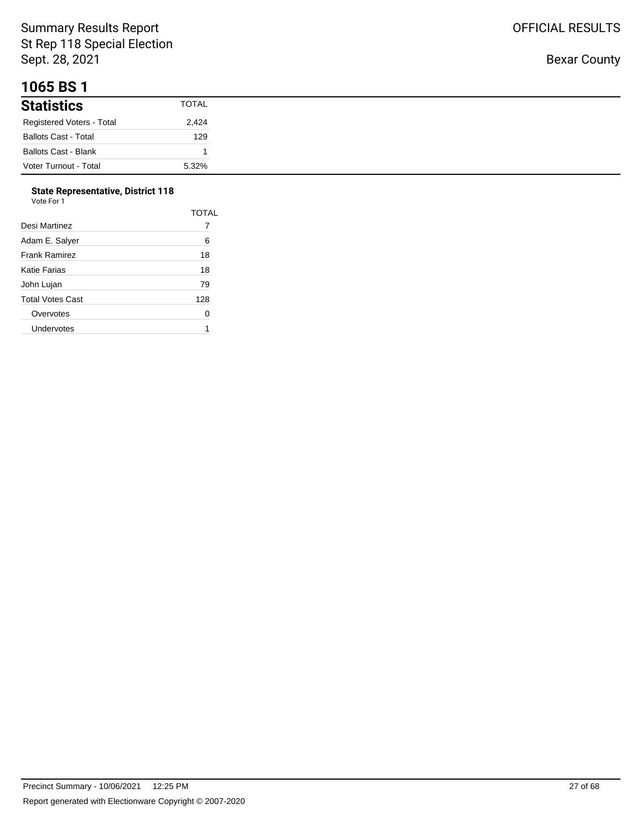## **1065 BS 1**

| <b>Statistics</b>           | <b>TOTAL</b> |
|-----------------------------|--------------|
| Registered Voters - Total   | 2,424        |
| <b>Ballots Cast - Total</b> | 129          |
| <b>Ballots Cast - Blank</b> |              |
| Voter Turnout - Total       | 5.32%        |

# **State Representative, District 118**

|                      | <b>TOTAL</b> |
|----------------------|--------------|
| Desi Martinez        |              |
| Adam E. Salyer       | 6            |
| <b>Frank Ramirez</b> | 18           |
| Katie Farias         | 18           |
| John Lujan           | 79           |
| Total Votes Cast     | 128          |
| Overvotes            | 0            |
| Undervotes           |              |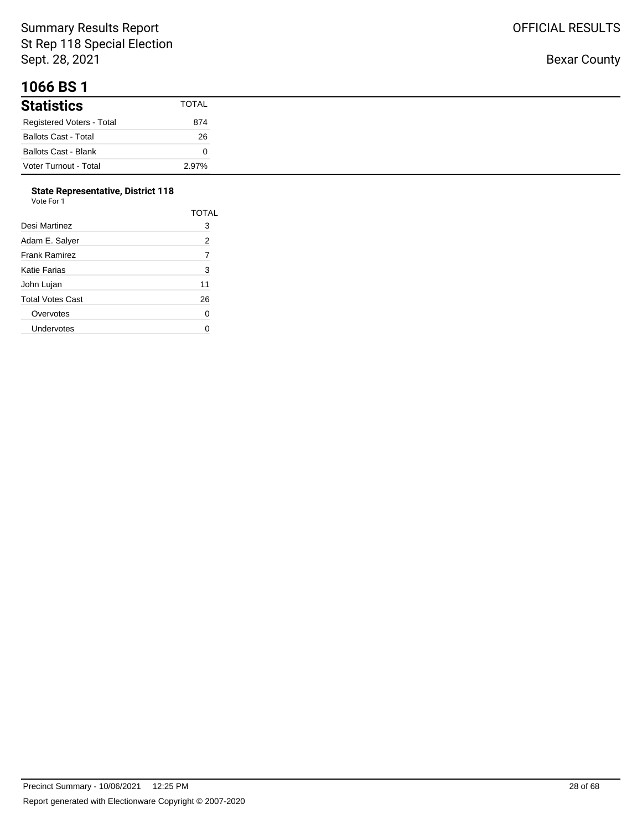## **1066 BS 1**

| <b>Statistics</b>           | <b>TOTAL</b> |
|-----------------------------|--------------|
| Registered Voters - Total   | 874          |
| <b>Ballots Cast - Total</b> | 26           |
| <b>Ballots Cast - Blank</b> |              |
| Voter Turnout - Total       | 2.97%        |

#### **State Representative, District 118** Vote For 1

| 1 U U U          |       |
|------------------|-------|
|                  | TOTAL |
| Desi Martinez    | 3     |
| Adam E. Salyer   | 2     |
| Frank Ramirez    | 7     |
| Katie Farias     | 3     |
| John Lujan       | 11    |
| Total Votes Cast | 26    |
| Overvotes        | 0     |
| Undervotes       | U     |
|                  |       |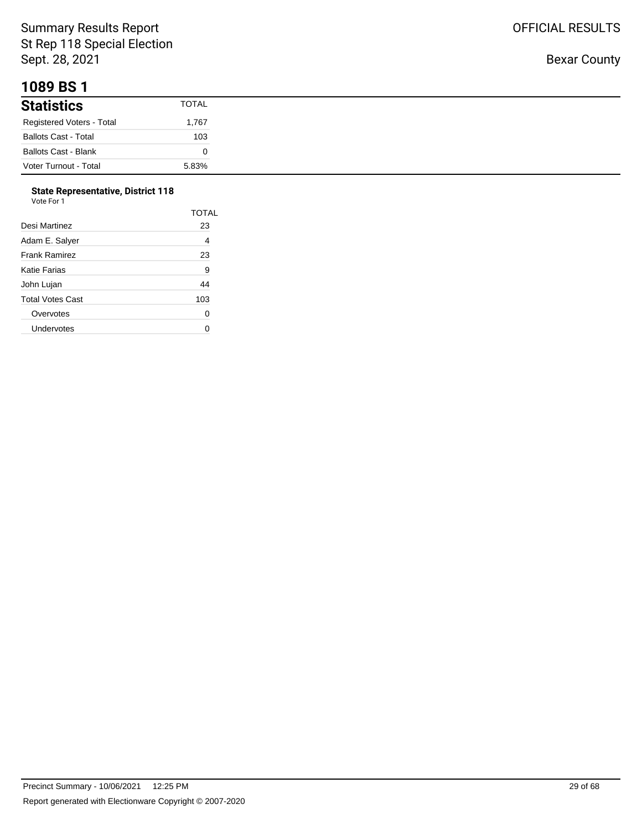#### **1089 BS 1**

| <b>Statistics</b>           | <b>TOTAL</b> |
|-----------------------------|--------------|
| Registered Voters - Total   | 1,767        |
| <b>Ballots Cast - Total</b> | 103          |
| <b>Ballots Cast - Blank</b> |              |
| Voter Turnout - Total       | 5.83%        |

## **State Representative, District 118**

|                  | TOTAL |
|------------------|-------|
| Desi Martinez    | 23    |
| Adam E. Salyer   | 4     |
| Frank Ramirez    | 23    |
| Katie Farias     | 9     |
| John Lujan       | 44    |
| Total Votes Cast | 103   |
| Overvotes        | 0     |
| Undervotes       |       |
|                  |       |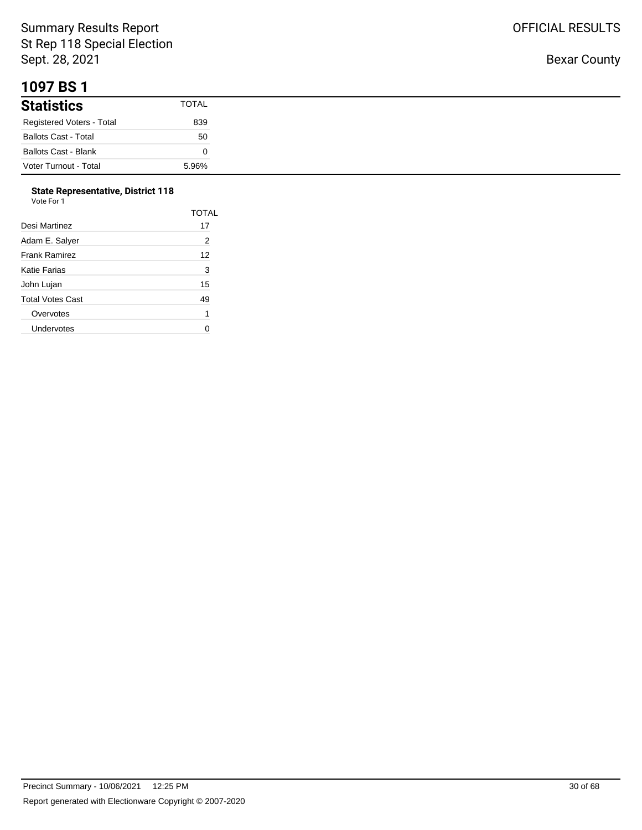#### **1097 BS 1**

| <b>Statistics</b>           | <b>TOTAL</b> |
|-----------------------------|--------------|
| Registered Voters - Total   | 839          |
| <b>Ballots Cast - Total</b> | 50           |
| Ballots Cast - Blank        |              |
| Voter Turnout - Total       | 5.96%        |

#### **State Representative, District 118**

| Vote For 1 |  |  |
|------------|--|--|
|            |  |  |

|                      | TOTAL |
|----------------------|-------|
| Desi Martinez        | 17    |
| Adam E. Salyer       | 2     |
| <b>Frank Ramirez</b> | 12    |
| Katie Farias         | 3     |
| John Lujan           | 15    |
| Total Votes Cast     | 49    |
| Overvotes            | 1     |
| Undervotes           |       |
|                      |       |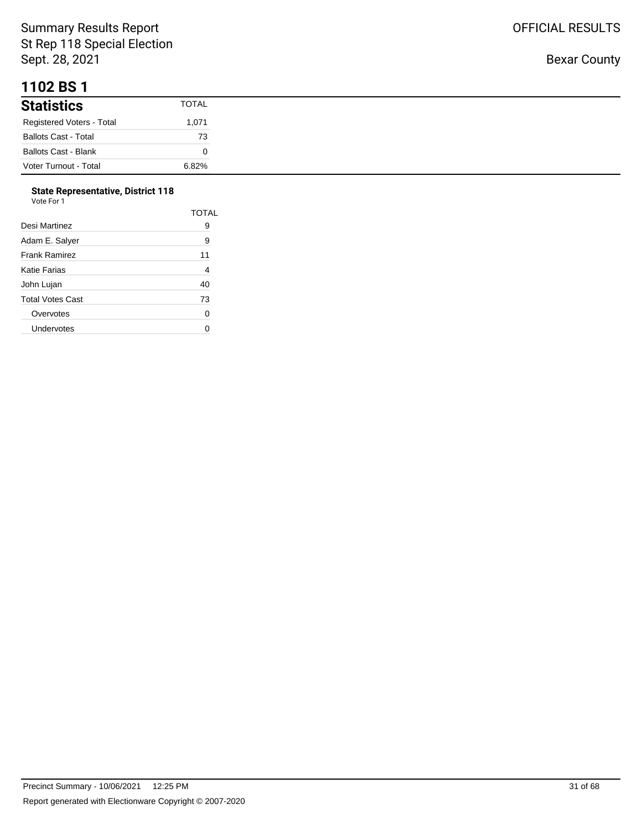#### **1102 BS 1**

| <b>Statistics</b>           | <b>TOTAL</b> |
|-----------------------------|--------------|
| Registered Voters - Total   | 1,071        |
| <b>Ballots Cast - Total</b> | 73           |
| <b>Ballots Cast - Blank</b> |              |
| Voter Turnout - Total       | 6.82%        |

#### **State Representative, District 118**

| Vote For 1              |       |
|-------------------------|-------|
|                         | TOTAL |
| Desi Martinez           | 9     |
| Adam E. Salver          | 9     |
| <b>Frank Ramirez</b>    | 11    |
| Katie Farias            | 4     |
| John Lujan              | 40    |
| <b>Total Votes Cast</b> | 73    |
| Overvotes               | 0     |
| Undervotes              |       |

Bexar County

OFFICIAL RESULTS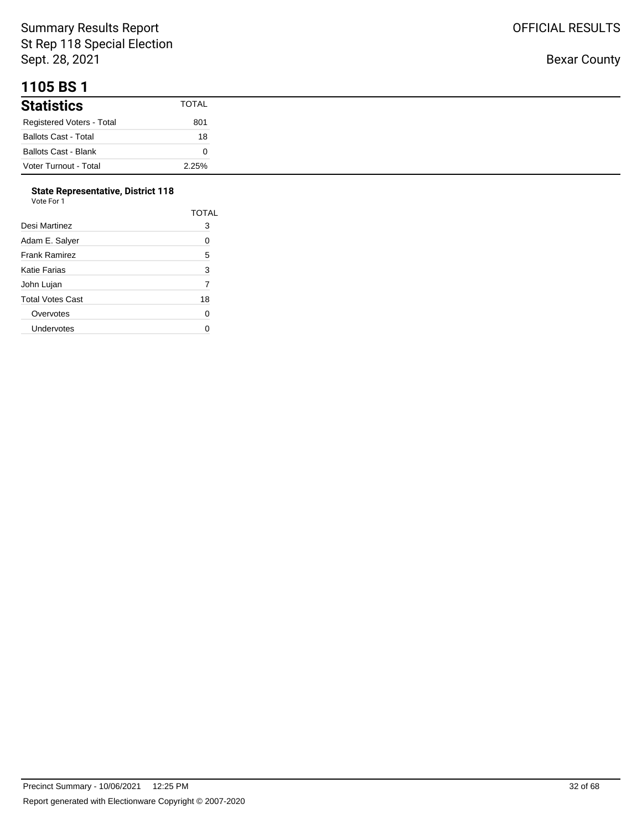## **1105 BS 1**

| <b>Statistics</b>           | TOTAL |
|-----------------------------|-------|
| Registered Voters - Total   | 801   |
| <b>Ballots Cast - Total</b> | 18    |
| <b>Ballots Cast - Blank</b> |       |
| Voter Turnout - Total       | 2.25% |

#### **State Representative, District 118**

| Vote For 1       |                |
|------------------|----------------|
|                  | <b>TOTAL</b>   |
| Desi Martinez    | 3              |
| Adam E. Salyer   | 0              |
| Frank Ramirez    | 5              |
| Katie Farias     | 3              |
| John Lujan       | $\overline{7}$ |
| Total Votes Cast | 18             |
| Overvotes        | 0              |
| Undervotes       | 0              |
|                  |                |

Bexar County

OFFICIAL RESULTS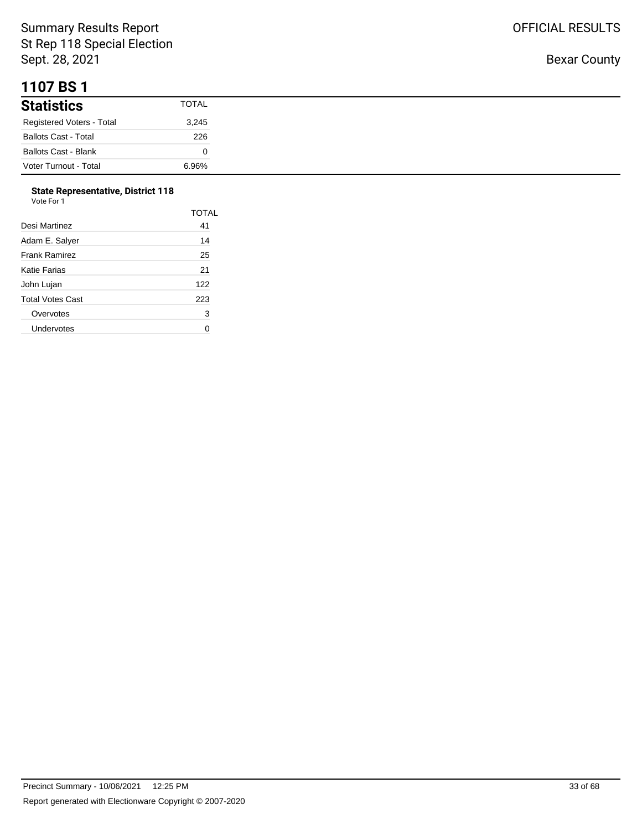#### **1107 BS 1**

| <b>Statistics</b>           | <b>TOTAL</b> |
|-----------------------------|--------------|
| Registered Voters - Total   | 3,245        |
| <b>Ballots Cast - Total</b> | 226          |
| <b>Ballots Cast - Blank</b> |              |
| Voter Turnout - Total       | 6.96%        |

#### **State Representative, District 118**  $V<sub>0</sub>$

| ote For |  |
|---------|--|

|                      | <b>TOTAL</b> |
|----------------------|--------------|
| Desi Martinez        | 41           |
| Adam E. Salver       | 14           |
| <b>Frank Ramirez</b> | 25           |
| Katie Farias         | 21           |
| John Lujan           | 122          |
| Total Votes Cast     | 223          |
| Overvotes            | 3            |
| Undervotes           |              |
|                      |              |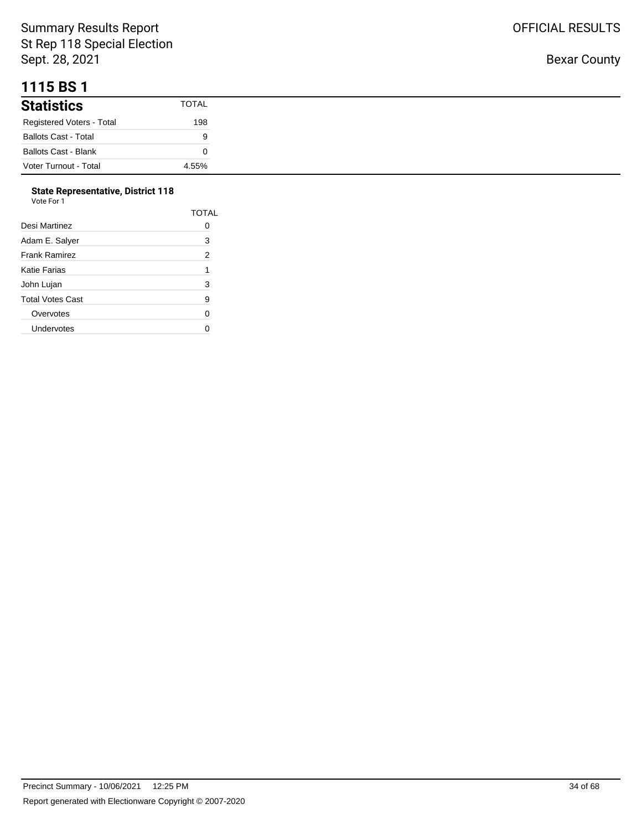## **1115 BS 1**

| <b>Statistics</b>           | TOTAL |
|-----------------------------|-------|
| Registered Voters - Total   | 198   |
| <b>Ballots Cast - Total</b> | 9     |
| <b>Ballots Cast - Blank</b> |       |
| Voter Turnout - Total       | 4.55% |

#### **State Representative, District 118**

| Vote For 1           |                |
|----------------------|----------------|
|                      | TOTAL          |
| Desi Martinez        | 0              |
| Adam E. Salyer       | 3              |
| <b>Frank Ramirez</b> | $\overline{2}$ |
| Katie Farias         | 1              |
| John Lujan           | 3              |
| Total Votes Cast     | 9              |
| Overvotes            | 0              |
| Undervotes           | ი              |
|                      |                |

Bexar County

OFFICIAL RESULTS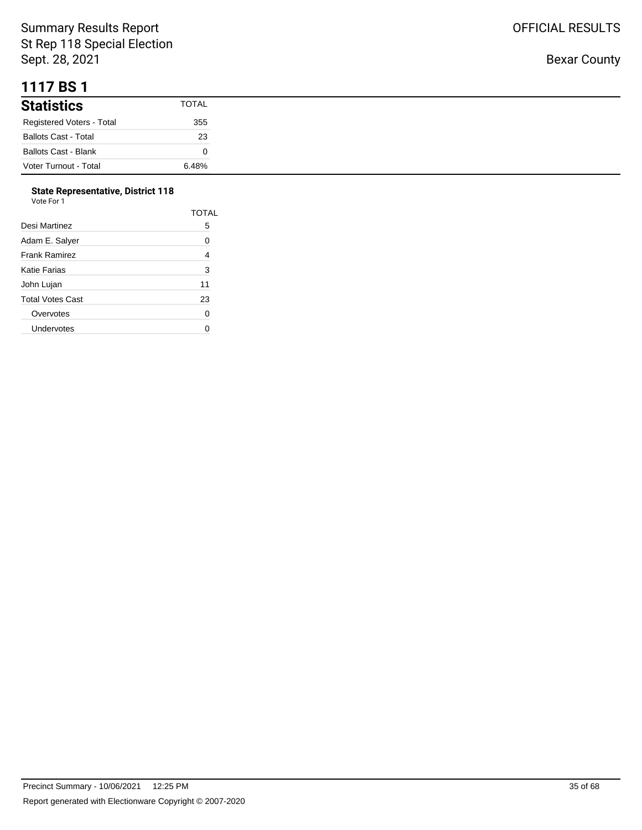## **1117 BS 1**

| <b>Statistics</b>           | <b>TOTAL</b> |
|-----------------------------|--------------|
| Registered Voters - Total   | 355          |
| <b>Ballots Cast - Total</b> | 23           |
| <b>Ballots Cast - Blank</b> |              |
| Voter Turnout - Total       | 6.48%        |

#### **State Representative, District 118**

| Vote For 1       |              |
|------------------|--------------|
|                  | <b>TOTAL</b> |
| Desi Martinez    | 5            |
| Adam E. Salyer   | 0            |
| Frank Ramirez    | 4            |
| Katie Farias     | 3            |
| John Lujan       | 11           |
| Total Votes Cast | 23           |
| Overvotes        | 0            |
| Undervotes       | O            |
|                  |              |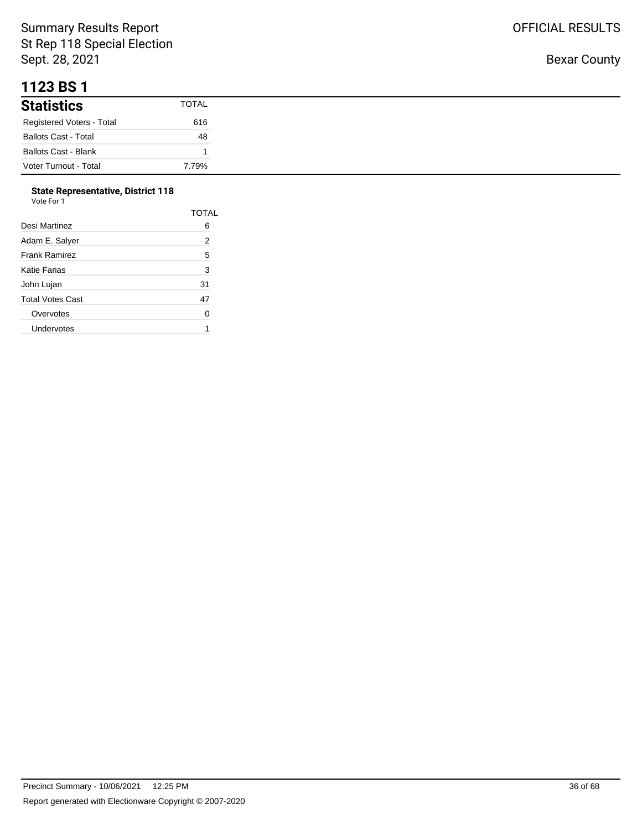#### **1123 BS 1**

| .                           |       |
|-----------------------------|-------|
| <b>Statistics</b>           | TOTAL |
| Registered Voters - Total   | 616   |
| <b>Ballots Cast - Total</b> | 48    |
| <b>Ballots Cast - Blank</b> |       |
| Voter Turnout - Total       | 7.79% |

#### **State Representative, District 118**

| Vote For 1       |                |
|------------------|----------------|
|                  | <b>TOTAL</b>   |
| Desi Martinez    | 6              |
| Adam E. Salyer   | $\overline{2}$ |
| Frank Ramirez    | 5              |
| Katie Farias     | 3              |
| John Lujan       | 31             |
| Total Votes Cast | 47             |
| Overvotes        | 0              |
| Undervotes       | 1              |
|                  |                |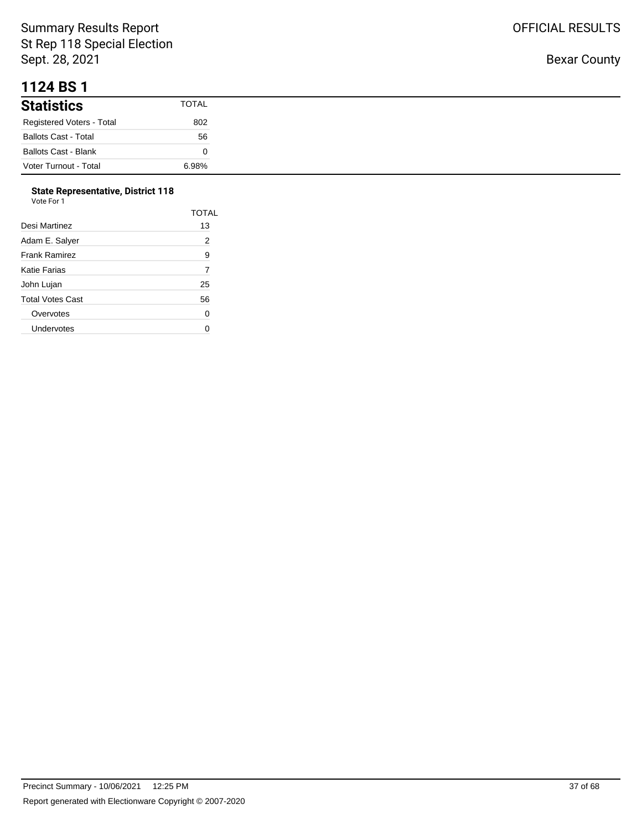#### **1124 BS 1**

| <b>Statistics</b>           | <b>TOTAL</b> |
|-----------------------------|--------------|
| Registered Voters - Total   | 802          |
| <b>Ballots Cast - Total</b> | 56           |
| Ballots Cast - Blank        |              |
| Voter Turnout - Total       | 6.98%        |

#### **State Representative, District 118**

| Vote For 1       |                |
|------------------|----------------|
|                  | <b>TOTAL</b>   |
| Desi Martinez    | 13             |
| Adam E. Salyer   | $\overline{2}$ |
| Frank Ramirez    | 9              |
| Katie Farias     | 7              |
| John Lujan       | 25             |
| Total Votes Cast | 56             |
| Overvotes        | 0              |
| Undervotes       |                |
|                  |                |

OFFICIAL RESULTS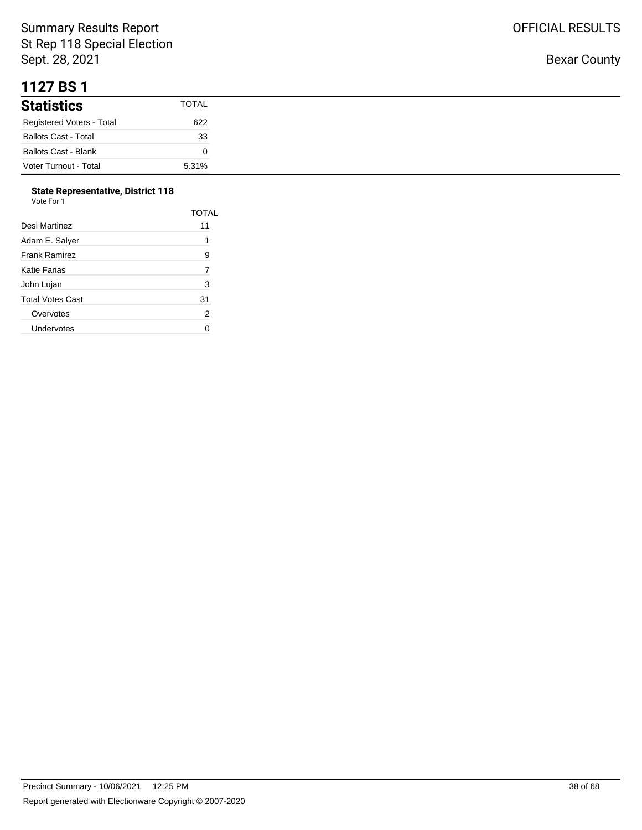#### **1127 BS 1**

| <b>Statistics</b>           | <b>TOTAL</b> |
|-----------------------------|--------------|
| Registered Voters - Total   | 622          |
| <b>Ballots Cast - Total</b> | 33           |
| <b>Ballots Cast - Blank</b> |              |
| Voter Turnout - Total       | 5.31%        |

#### **State Representative, District 118**

| Vote For 1              |                |
|-------------------------|----------------|
|                         | <b>TOTAL</b>   |
| Desi Martinez           | 11             |
| Adam E. Salver          | 1              |
| <b>Frank Ramirez</b>    | 9              |
| <b>Katie Farias</b>     | 7              |
| John Lujan              | 3              |
| <b>Total Votes Cast</b> | 31             |
| Overvotes               | $\overline{2}$ |
| Undervotes              |                |
|                         |                |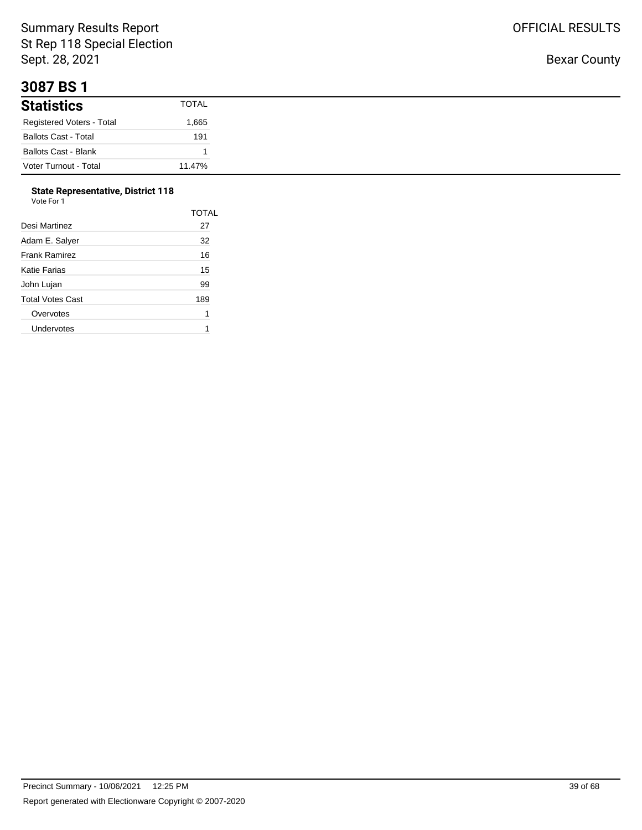#### **3087 BS 1**

| -------                     |              |
|-----------------------------|--------------|
| <b>Statistics</b>           | <b>TOTAL</b> |
| Registered Voters - Total   | 1,665        |
| <b>Ballots Cast - Total</b> | 191          |
| <b>Ballots Cast - Blank</b> |              |
| Voter Turnout - Total       | 11.47%       |

#### **State Representative, District 118**  $V<sub>0</sub>$

| ote For |  |
|---------|--|

|                      | TOTAL |
|----------------------|-------|
| Desi Martinez        | 27    |
| Adam E. Salver       | 32    |
| <b>Frank Ramirez</b> | 16    |
| Katie Farias         | 15    |
| John Lujan           | 99    |
| Total Votes Cast     | 189   |
| Overvotes            | 1     |
| Undervotes           | 1     |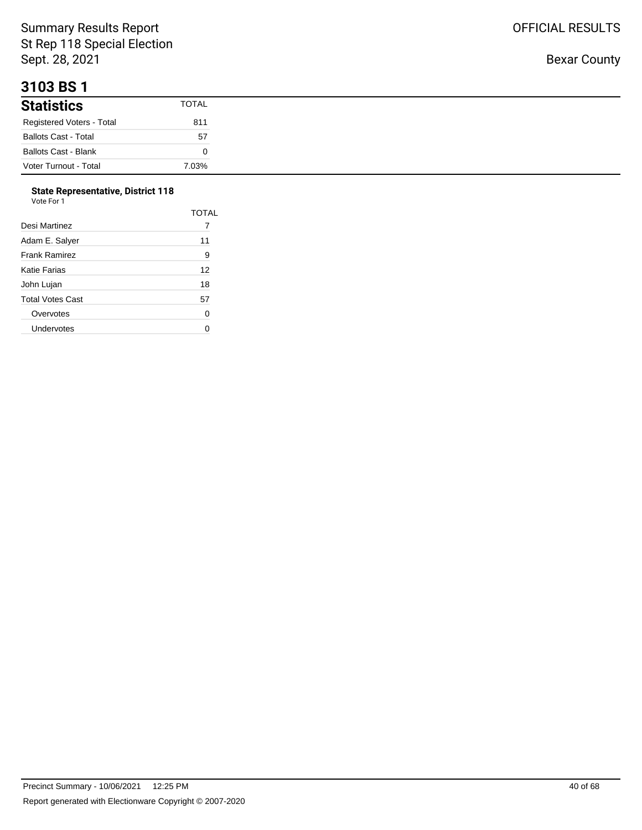#### **3103 BS 1**

| <b>Statistics</b>           | <b>TOTAL</b> |
|-----------------------------|--------------|
| Registered Voters - Total   | 811          |
| <b>Ballots Cast - Total</b> | 57           |
| Ballots Cast - Blank        |              |
| Voter Turnout - Total       | 7.03%        |

## **State Representative, District 118**

| Vote For 1 |  |
|------------|--|
|------------|--|

|                  | <b>TOTAL</b> |
|------------------|--------------|
| Desi Martinez    |              |
| Adam E. Salyer   | 11           |
| Frank Ramirez    | 9            |
| Katie Farias     | 12           |
| John Lujan       | 18           |
| Total Votes Cast | 57           |
| Overvotes        | 0            |
| Undervotes       |              |
|                  |              |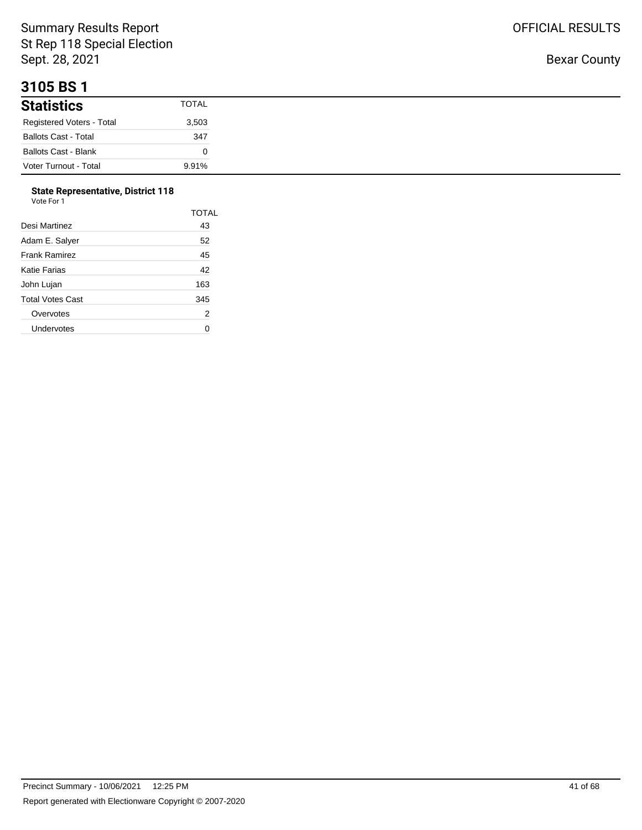## **3105 BS 1**

| - - - - - - -               |              |
|-----------------------------|--------------|
| <b>Statistics</b>           | <b>TOTAL</b> |
| Registered Voters - Total   | 3,503        |
| <b>Ballots Cast - Total</b> | 347          |
| <b>Ballots Cast - Blank</b> |              |
| Voter Turnout - Total       | 9.91%        |

# **State Representative, District 118**

| Vote For 1 |  |
|------------|--|
|------------|--|

|                      | <b>TOTAL</b> |
|----------------------|--------------|
| Desi Martinez        | 43           |
| Adam E. Salver       | 52           |
| <b>Frank Ramirez</b> | 45           |
| Katie Farias         | 42           |
| John Lujan           | 163          |
| Total Votes Cast     | 345          |
| Overvotes            | 2            |
| Undervotes           |              |
|                      |              |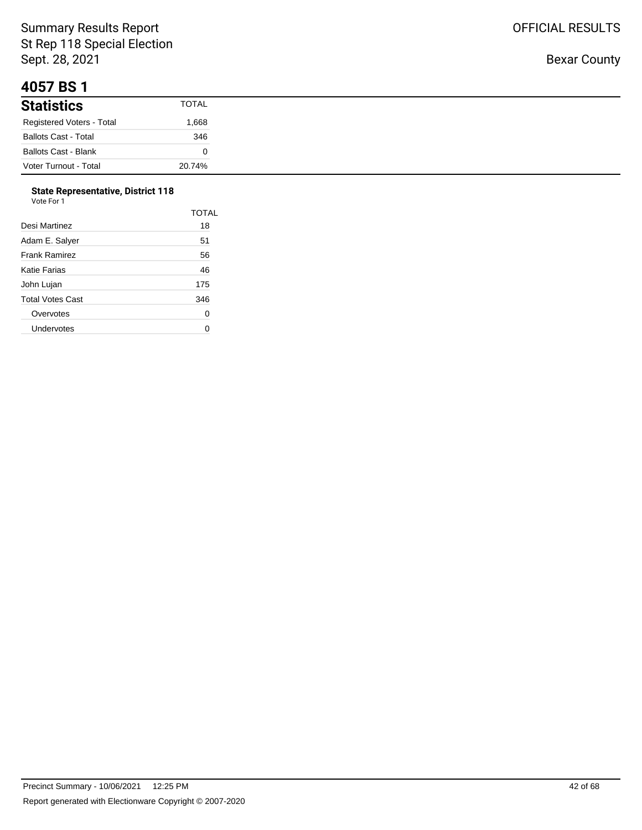#### **4057 BS 1**

| <b>Statistics</b>           | TOTAL  |
|-----------------------------|--------|
| Registered Voters - Total   | 866.1  |
| <b>Ballots Cast - Total</b> | 346    |
| <b>Ballots Cast - Blank</b> |        |
| Voter Turnout - Total       | 20.74% |

# **State Representative, District 118**

| Vote For 1 |  |
|------------|--|
|------------|--|

|                      | <b>TOTAL</b> |
|----------------------|--------------|
| Desi Martinez        | 18           |
| Adam E. Salver       | 51           |
| <b>Frank Ramirez</b> | 56           |
| Katie Farias         | 46           |
| John Lujan           | 175          |
| Total Votes Cast     | 346          |
| Overvotes            | 0            |
| Undervotes           |              |
|                      |              |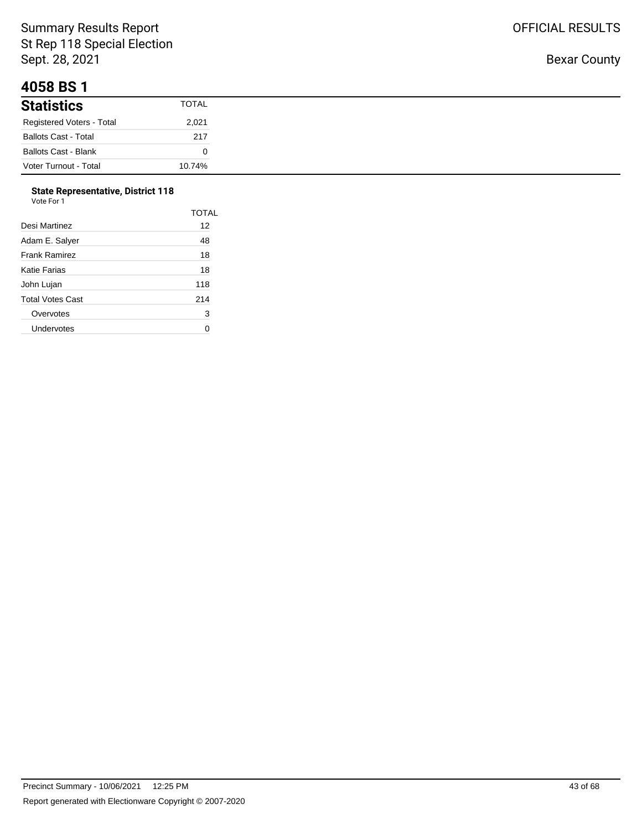## **4058 BS 1**

| <b>Statistics</b>           | <b>TOTAL</b> |
|-----------------------------|--------------|
| Registered Voters - Total   | 2,021        |
| <b>Ballots Cast - Total</b> | 217          |
| <b>Ballots Cast - Blank</b> |              |
| Voter Turnout - Total       | 10.74%       |

## **State Representative, District 118**

| Vote For 1 |  |
|------------|--|
|            |  |

|                      | <b>TOTAL</b> |
|----------------------|--------------|
| Desi Martinez        | 12           |
| Adam E. Salyer       | 48           |
| <b>Frank Ramirez</b> | 18           |
| Katie Farias         | 18           |
| John Lujan           | 118          |
| Total Votes Cast     | 214          |
| Overvotes            | 3            |
| Undervotes           |              |
|                      |              |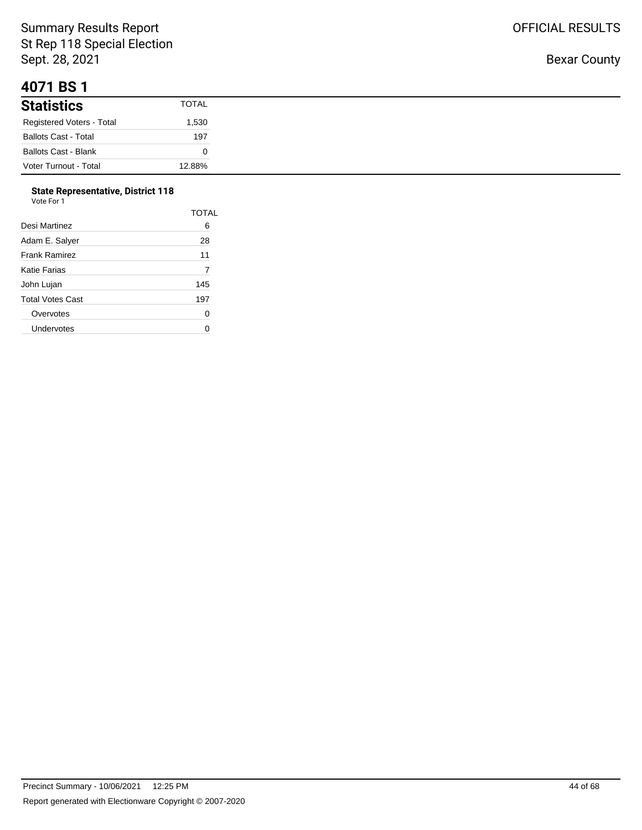## **4071 BS 1**

| <b>Statistics</b>           | <b>TOTAL</b> |
|-----------------------------|--------------|
| Registered Voters - Total   | 1,530        |
| <b>Ballots Cast - Total</b> | 197          |
| <b>Ballots Cast - Blank</b> |              |
| Voter Turnout - Total       | 12.88%       |

#### **State Representative, District 118**

| Vote For 1 |  |  |
|------------|--|--|
|            |  |  |

|                  | TOTAL |
|------------------|-------|
| Desi Martinez    | 6     |
| Adam E. Salyer   | 28    |
| Frank Ramirez    | 11    |
| Katie Farias     | 7     |
| John Lujan       | 145   |
| Total Votes Cast | 197   |
| Overvotes        | 0     |
| Undervotes       |       |
|                  |       |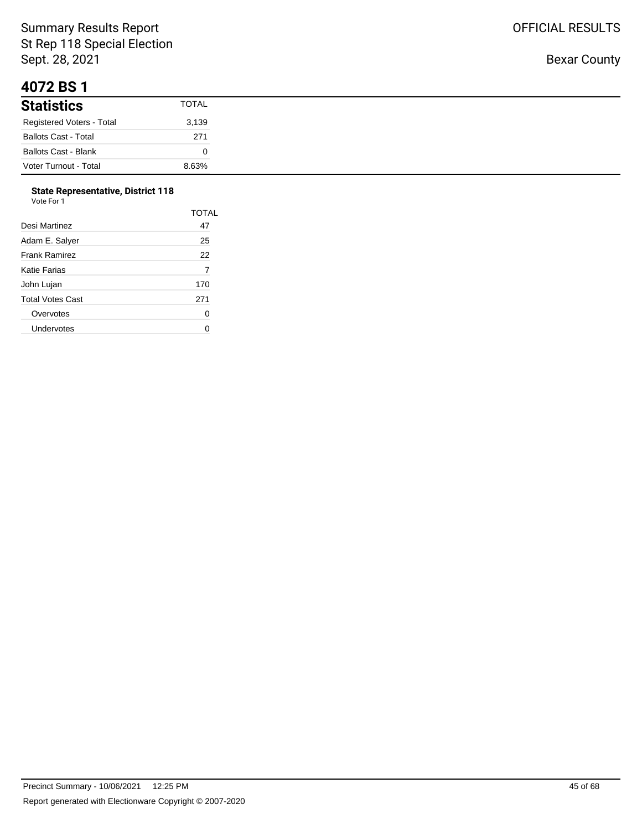## **4072 BS 1**

| <b>Statistics</b>           | <b>TOTAL</b> |
|-----------------------------|--------------|
| Registered Voters - Total   | 3,139        |
| <b>Ballots Cast - Total</b> | 271          |
| <b>Ballots Cast - Blank</b> |              |
| Voter Turnout - Total       | 8.63%        |

# **State Representative, District 118**

| Vote For 1 |  |
|------------|--|

|                  | <b>TOTAL</b> |
|------------------|--------------|
| Desi Martinez    | 47           |
| Adam E. Salyer   | 25           |
| Frank Ramirez    | 22           |
| Katie Farias     | 7            |
| John Lujan       | 170          |
| Total Votes Cast | 271          |
| Overvotes        | 0            |
| Undervotes       |              |
|                  |              |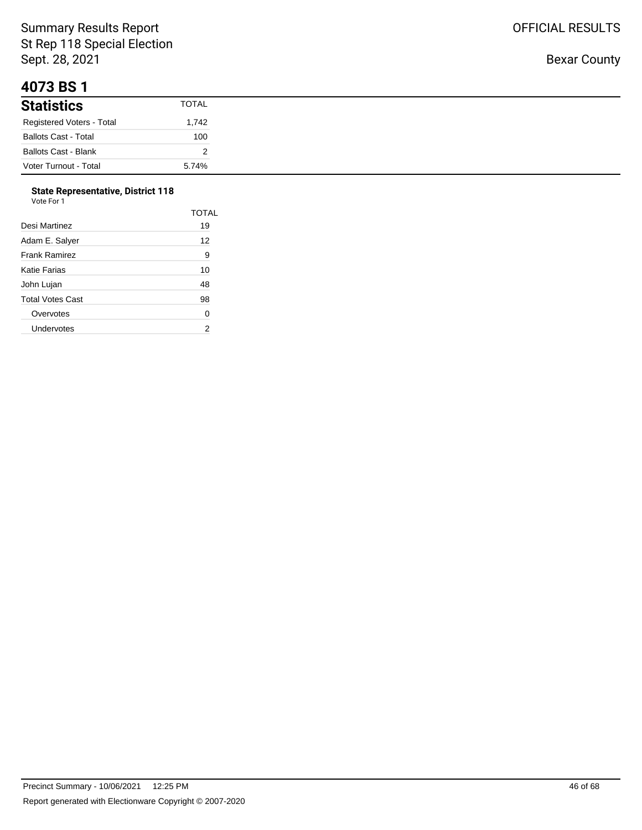## **4073 BS 1**

| <b>Statistics</b>           | <b>TOTAL</b> |
|-----------------------------|--------------|
| Registered Voters - Total   | 1,742        |
| <b>Ballots Cast - Total</b> | 100          |
| <b>Ballots Cast - Blank</b> |              |
| Voter Turnout - Total       | 5.74%        |

## **State Representative, District 118**

| Vote For 1 |  |  |  |
|------------|--|--|--|
|------------|--|--|--|

|                  | <b>TOTAL</b> |
|------------------|--------------|
| Desi Martinez    | 19           |
| Adam E. Salyer   | 12           |
| Frank Ramirez    | 9            |
| Katie Farias     | 10           |
| John Lujan       | 48           |
| Total Votes Cast | 98           |
| Overvotes        | 0            |
| Undervotes       | 2            |
|                  |              |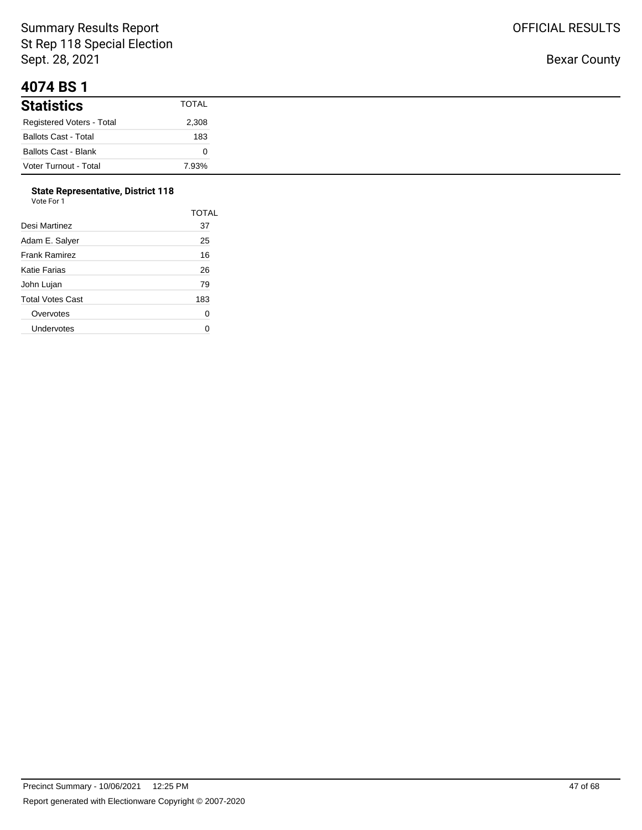#### **4074 BS 1**

| <b>Statistics</b>           | <b>TOTAL</b> |
|-----------------------------|--------------|
| Registered Voters - Total   | 2,308        |
| <b>Ballots Cast - Total</b> | 183          |
| <b>Ballots Cast - Blank</b> |              |
| Voter Turnout - Total       | 7.93%        |

# **State Representative, District 118**

| Vote For 1 |  |  |
|------------|--|--|
|            |  |  |

|                  | <b>TOTAL</b> |
|------------------|--------------|
| Desi Martinez    | 37           |
| Adam E. Salyer   | 25           |
| Frank Ramirez    | 16           |
| Katie Farias     | 26           |
| John Lujan       | 79           |
| Total Votes Cast | 183          |
| Overvotes        | 0            |
| Undervotes       |              |
|                  |              |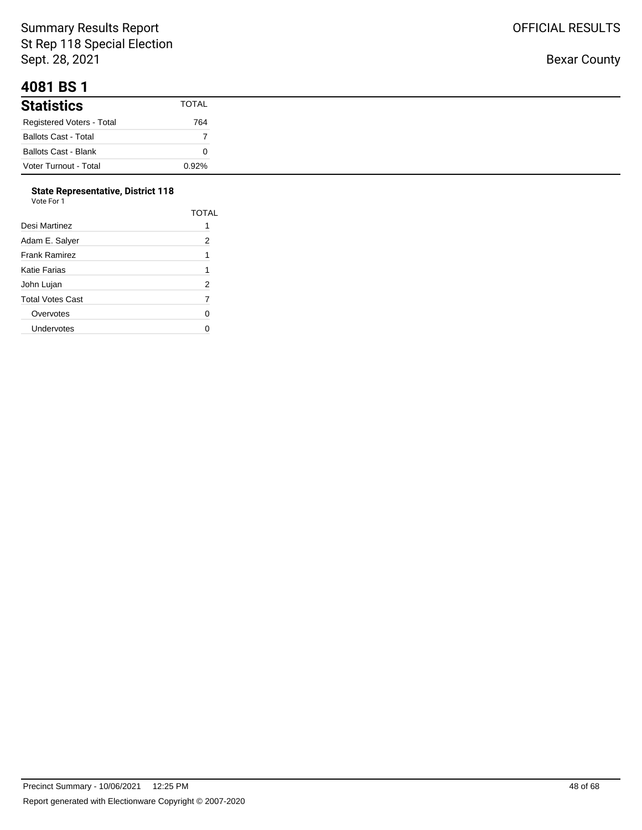## **4081 BS 1**

| <b>Statistics</b>           | TOTAL |
|-----------------------------|-------|
| Registered Voters - Total   | 764   |
| <b>Ballots Cast - Total</b> |       |
| <b>Ballots Cast - Blank</b> |       |
| Voter Turnout - Total       | 0.92% |

#### **State Representative, District 118**

| Vote For 1       |       |
|------------------|-------|
|                  | TOTAL |
| Desi Martinez    | 1     |
| Adam E. Salyer   | 2     |
| Frank Ramirez    | 1     |
| Katie Farias     | 1     |
| John Lujan       | 2     |
| Total Votes Cast | 7     |
| Overvotes        | 0     |
| Undervotes       | ሰ     |
|                  |       |

Bexar County

OFFICIAL RESULTS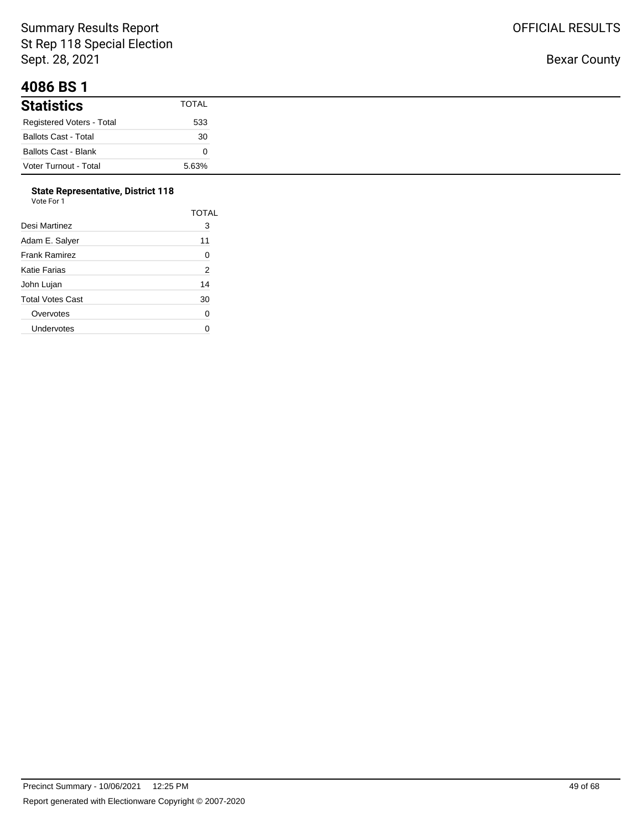## **4086 BS 1**

| <b>Statistics</b>           | <b>TOTAL</b> |
|-----------------------------|--------------|
| Registered Voters - Total   | 533          |
| <b>Ballots Cast - Total</b> | 30           |
| <b>Ballots Cast - Blank</b> |              |
| Voter Turnout - Total       | 5.63%        |

#### **State Representative, District 118**

| Vote For 1              |                |
|-------------------------|----------------|
|                         | TOTAL          |
| Desi Martinez           | 3              |
| Adam E. Salver          | 11             |
| <b>Frank Ramirez</b>    | 0              |
| <b>Katie Farias</b>     | $\overline{2}$ |
| John Lujan              | 14             |
| <b>Total Votes Cast</b> | 30             |
| Overvotes               | 0              |
| Undervotes              |                |

Bexar County

OFFICIAL RESULTS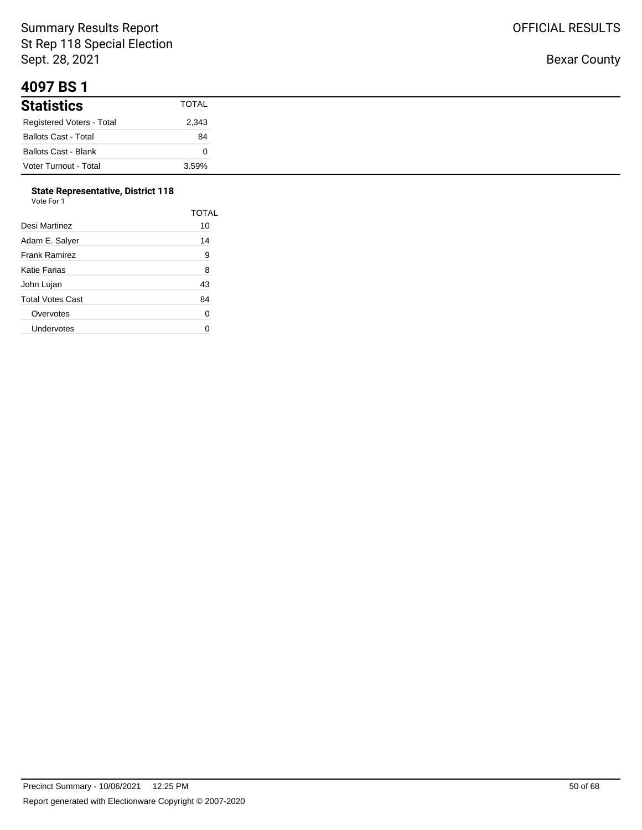#### **4097 BS 1**

| .                           |              |
|-----------------------------|--------------|
| <b>Statistics</b>           | <b>TOTAL</b> |
| Registered Voters - Total   | 2,343        |
| <b>Ballots Cast - Total</b> | 84           |
| <b>Ballots Cast - Blank</b> |              |
| Voter Turnout - Total       | 3.59%        |

#### **State Representative, District 118**

| Vote For 1 |  |  |
|------------|--|--|
|            |  |  |

| Desi Martinez        | TOTAL<br>10 |
|----------------------|-------------|
| Adam E. Salyer       | 14          |
| <b>Frank Ramirez</b> | 9           |
| Katie Farias         | 8           |
| John Lujan           | 43          |
| Total Votes Cast     | 84          |
| Overvotes            | 0           |
| Undervotes           |             |
|                      |             |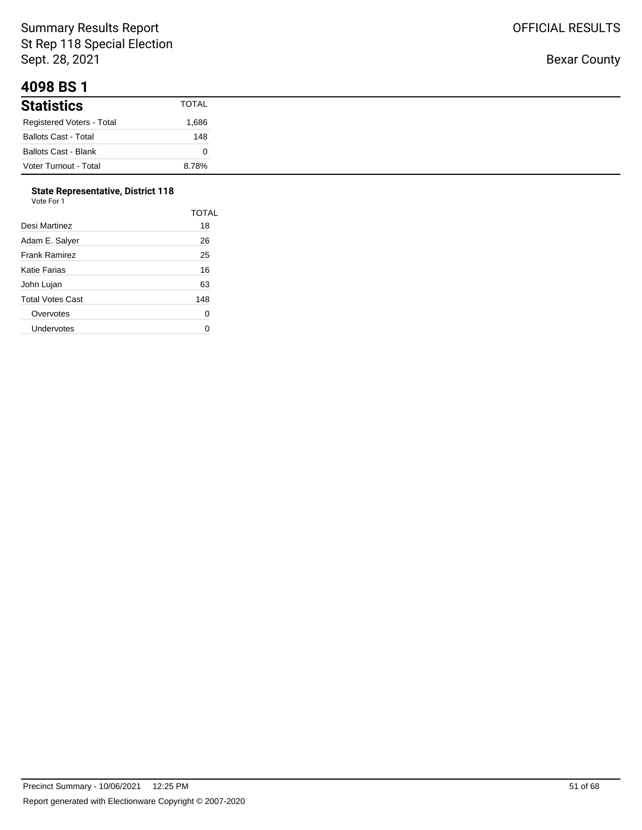## **4098 BS 1**

| .                           |              |
|-----------------------------|--------------|
| <b>Statistics</b>           | <b>TOTAL</b> |
| Registered Voters - Total   | .686         |
| <b>Ballots Cast - Total</b> | 148          |
| <b>Ballots Cast - Blank</b> |              |
| Voter Turnout - Total       | 8.78%        |

# **State Representative, District 118**

| Vote For 1 |  |
|------------|--|
|------------|--|

|                      | TOTAL |
|----------------------|-------|
| Desi Martinez        | 18    |
| Adam E. Salyer       | 26    |
| <b>Frank Ramirez</b> | 25    |
| Katie Farias         | 16    |
| John Lujan           | 63    |
| Total Votes Cast     | 148   |
| Overvotes            | 0     |
| Undervotes           |       |
|                      |       |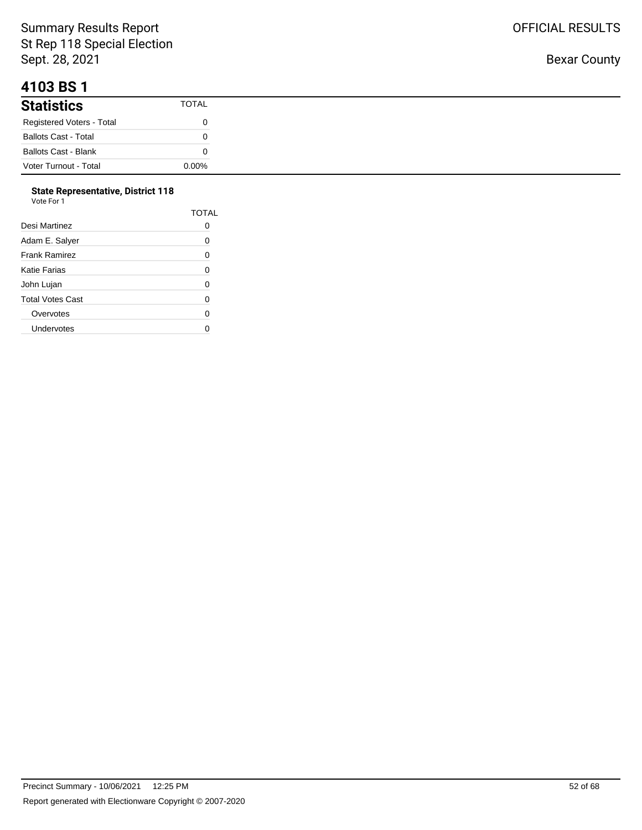## **4103 BS 1**

| <b>Statistics</b>           | TOTAL    |
|-----------------------------|----------|
| Registered Voters - Total   |          |
| <b>Ballots Cast - Total</b> |          |
| <b>Ballots Cast - Blank</b> |          |
| Voter Turnout - Total       | $0.00\%$ |

#### **State Representative, District 118**

| Vote For 1       |              |
|------------------|--------------|
|                  | <b>TOTAL</b> |
| Desi Martinez    | 0            |
| Adam E. Salyer   | 0            |
| Frank Ramirez    | 0            |
| Katie Farias     | 0            |
| John Lujan       | 0            |
| Total Votes Cast | 0            |
| Overvotes        | 0            |
| Undervotes       |              |
|                  |              |

OFFICIAL RESULTS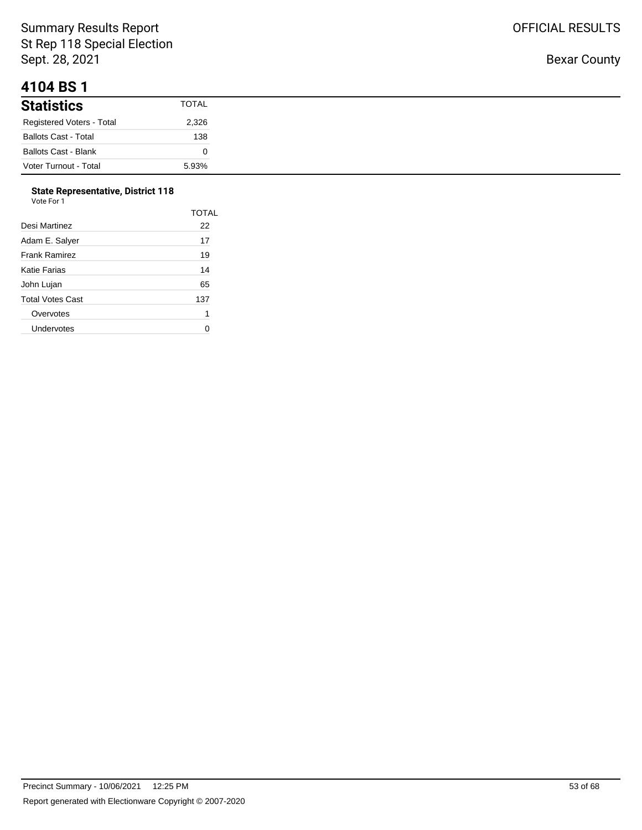## **4104 BS 1**

| .                           |              |
|-----------------------------|--------------|
| <b>Statistics</b>           | <b>TOTAL</b> |
| Registered Voters - Total   | 2,326        |
| <b>Ballots Cast - Total</b> | 138          |
| <b>Ballots Cast - Blank</b> |              |
| Voter Turnout - Total       | 5.93%        |

# **State Representative, District 118**

| Vote For 1 |  |
|------------|--|
|            |  |

| <b>TOTAL</b> |
|--------------|
| 22           |
| 17           |
| 19           |
| 14           |
| 65           |
| 137          |
| 1            |
|              |
|              |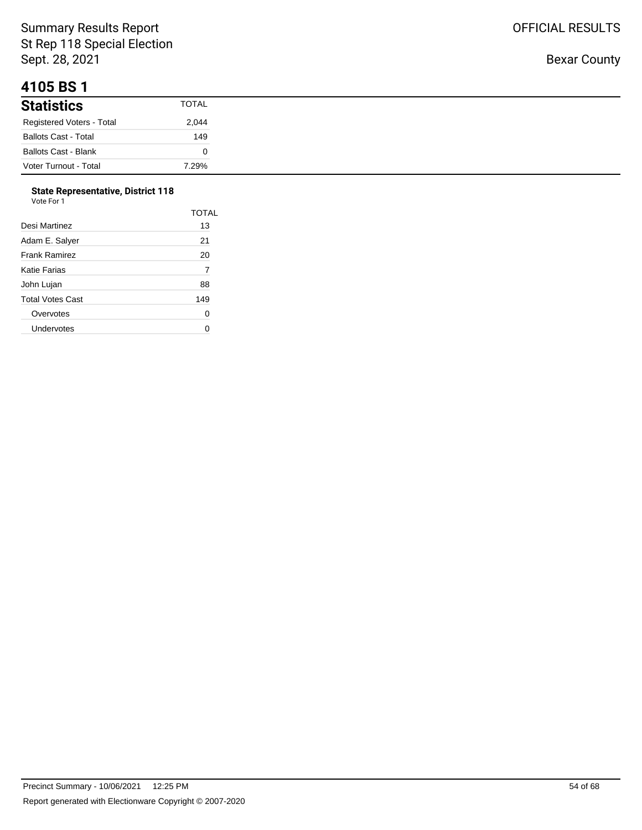Bexar County

| 41 UJ DJ 1                  |       |
|-----------------------------|-------|
| <b>Statistics</b>           | TOTAL |
| Registered Voters - Total   | 2,044 |
| <b>Ballots Cast - Total</b> | 149   |
| Ballots Cast - Blank        |       |
| Voter Turnout - Total       | 7.29% |

#### **State Representative, District 118**

| Vote For 1              |       |
|-------------------------|-------|
|                         | TOTAL |
| Desi Martinez           | 13    |
| Adam E. Salver          | 21    |
| <b>Frank Ramirez</b>    | 20    |
| Katie Farias            | 7     |
| John Lujan              | 88    |
| <b>Total Votes Cast</b> | 149   |
| Overvotes               | 0     |
| Undervotes              |       |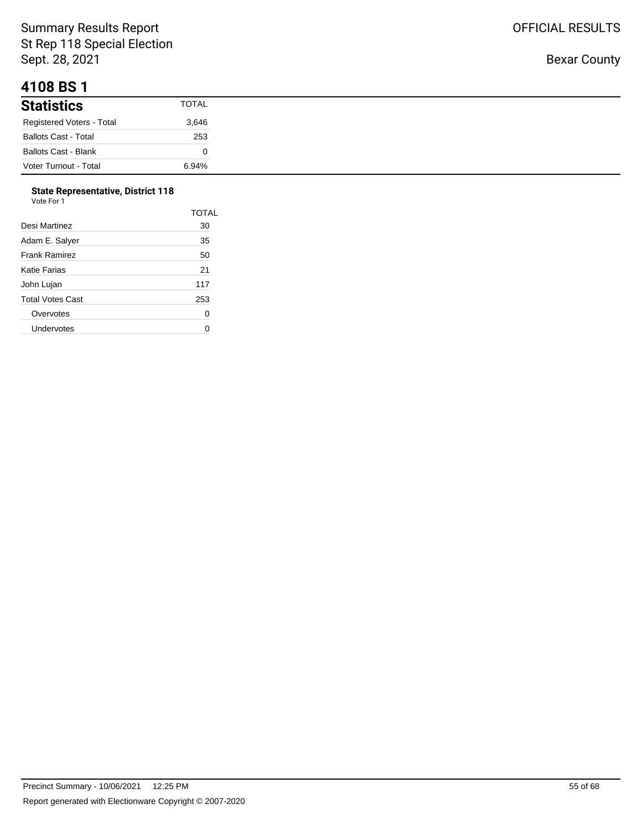#### **4108 BS 1**

| .                                |       |
|----------------------------------|-------|
| <b>Statistics</b>                | TOTAL |
| <b>Registered Voters - Total</b> | 3,646 |
| <b>Ballots Cast - Total</b>      | 253   |
| <b>Ballots Cast - Blank</b>      |       |
| Voter Turnout - Total            | 6.94% |

# **State Representative, District 118**

| Vote For 1 |  |  |
|------------|--|--|
|            |  |  |

|                  | <b>TOTAL</b> |
|------------------|--------------|
| Desi Martinez    | 30           |
| Adam E. Salyer   | 35           |
| Frank Ramirez    | 50           |
| Katie Farias     | 21           |
| John Lujan       | 117          |
| Total Votes Cast | 253          |
| Overvotes        | 0            |
| Undervotes       |              |
|                  |              |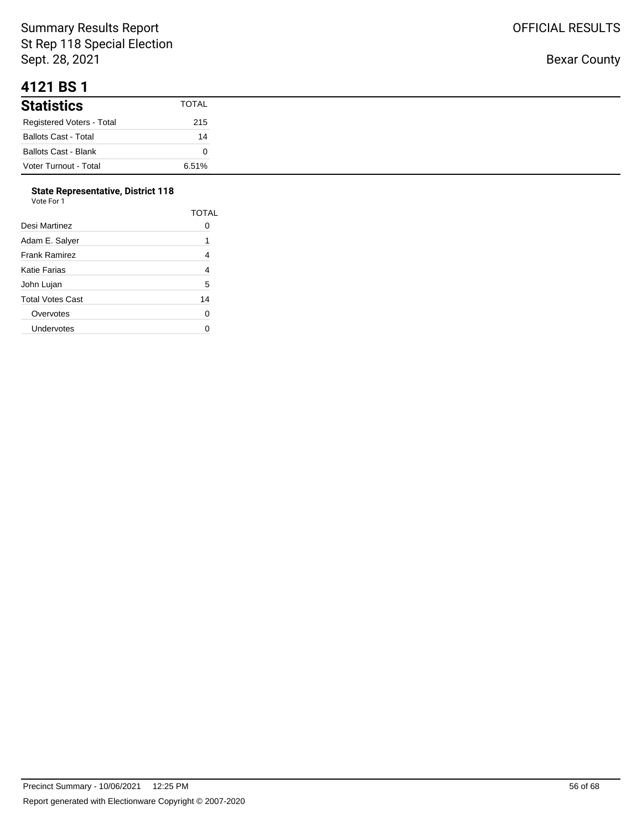#### **4121 BS 1**

| <b>Statistics</b>           | TOTAL |
|-----------------------------|-------|
| Registered Voters - Total   | 215   |
| <b>Ballots Cast - Total</b> | 14    |
| Ballots Cast - Blank        |       |
| Voter Turnout - Total       | 6.51% |

#### **State Representative, District 118** Vote For 1

| esi Martinez  |  |  |
|---------------|--|--|
| dam E. Salver |  |  |
| rank Ramirez  |  |  |
|               |  |  |

| Desi Martinez        | TOTAL<br>0 |
|----------------------|------------|
| Adam E. Salyer       | 1          |
| <b>Frank Ramirez</b> | 4          |
| Katie Farias         | 4          |
| John Lujan           | 5          |
| Total Votes Cast     | 14         |
| Overvotes            | 0          |
| Undervotes           |            |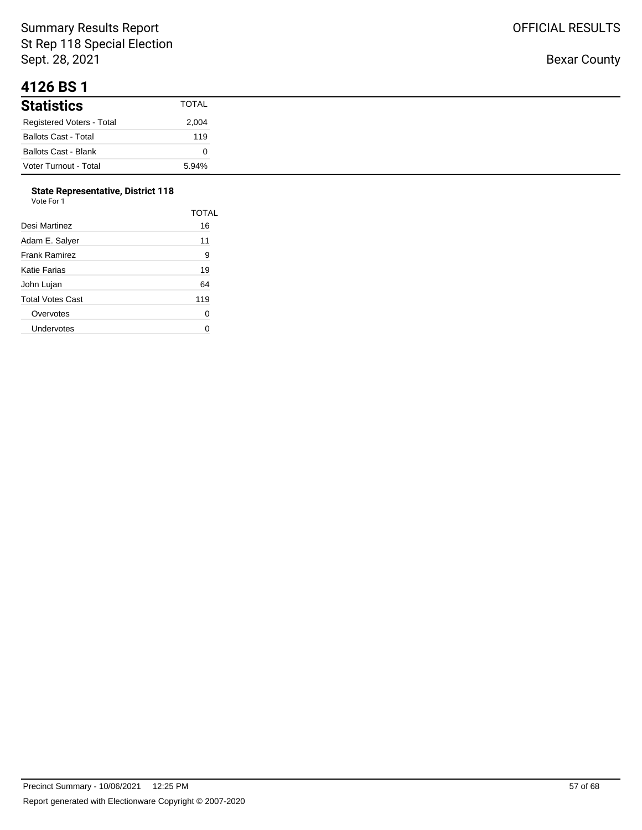#### **4126 BS 1**

| .                           |              |
|-----------------------------|--------------|
| <b>Statistics</b>           | <b>TOTAL</b> |
| Registered Voters - Total   | 2,004        |
| <b>Ballots Cast - Total</b> | 119          |
| <b>Ballots Cast - Blank</b> |              |
| Voter Turnout - Total       | 5.94%        |

#### **State Representative, District 118**  $V<sub>0</sub>$

|                  | <b>TOTAL</b> |
|------------------|--------------|
| Desi Martinez    | 16           |
| Adam E. Salyer   | 11           |
| Frank Ramirez    | 9            |
| Katie Farias     | 19           |
| John Lujan       | 64           |
| Total Votes Cast | 119          |
| Overvotes        | 0            |
| Undervotes       |              |
|                  |              |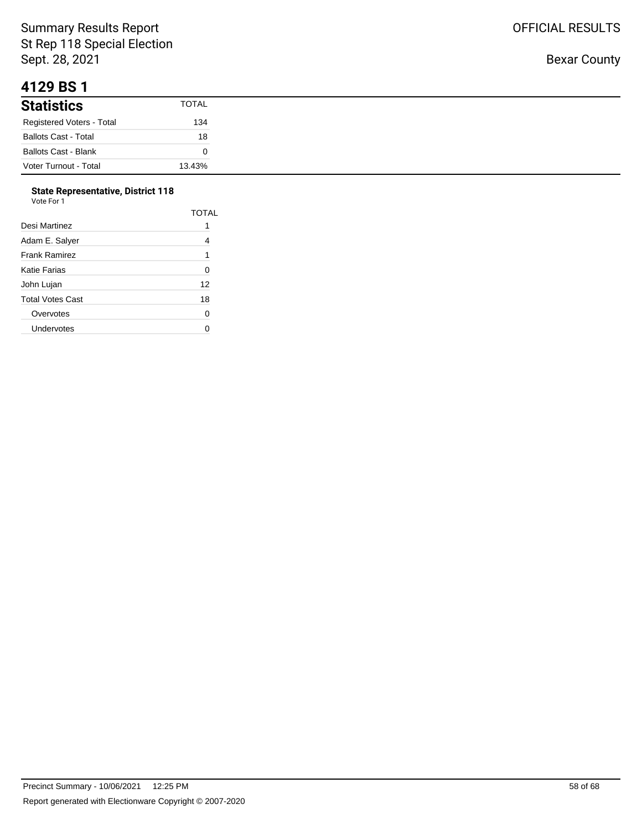#### **4129 BS 1**

| .                           |        |
|-----------------------------|--------|
| <b>Statistics</b>           | TOTAL  |
| Registered Voters - Total   | 134    |
| <b>Ballots Cast - Total</b> | 18     |
| <b>Ballots Cast - Blank</b> |        |
| Voter Turnout - Total       | 13.43% |

#### **State Representative, District 118**

| Vote For 1           |       |
|----------------------|-------|
|                      | TOTAL |
| Desi Martinez        | 1     |
| Adam E. Salyer       | 4     |
| <b>Frank Ramirez</b> | 1     |
| Katie Farias         | 0     |
| John Lujan           | 12    |
| Total Votes Cast     | 18    |
| Overvotes            | 0     |
| Undervotes           | U     |
|                      |       |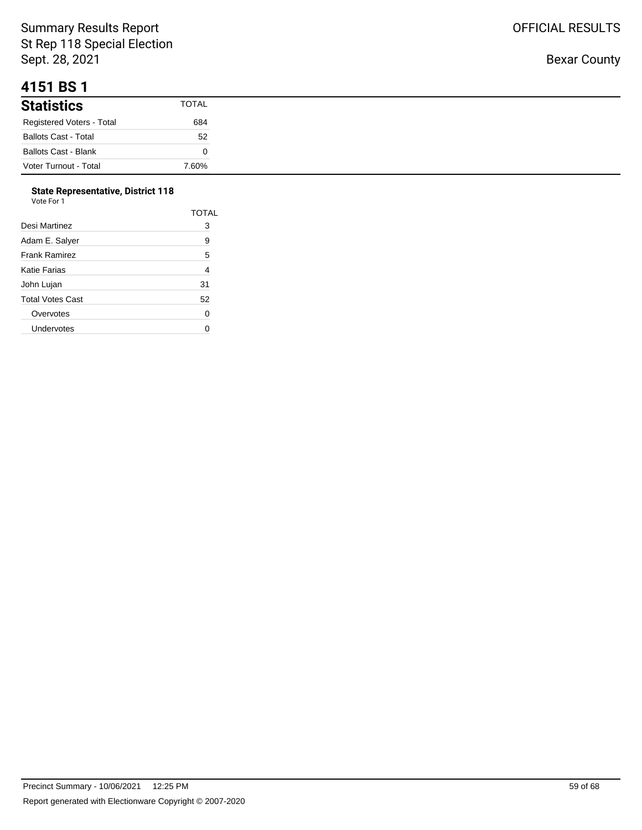#### **4151 BS 1**

| .                           |       |
|-----------------------------|-------|
| <b>Statistics</b>           | TOTAL |
| Registered Voters - Total   | 684   |
| <b>Ballots Cast - Total</b> | 52    |
| Ballots Cast - Blank        |       |
| Voter Turnout - Total       | 7.60% |

#### **State Representative, District 118**

| Vote For 1       |                |
|------------------|----------------|
|                  | <b>TOTAL</b>   |
| Desi Martinez    | 3              |
| Adam E. Salyer   | 9              |
| Frank Ramirez    | 5              |
| Katie Farias     | $\overline{4}$ |
| John Lujan       | 31             |
| Total Votes Cast | 52             |
| Overvotes        | 0              |
| Undervotes       |                |
|                  |                |

OFFICIAL RESULTS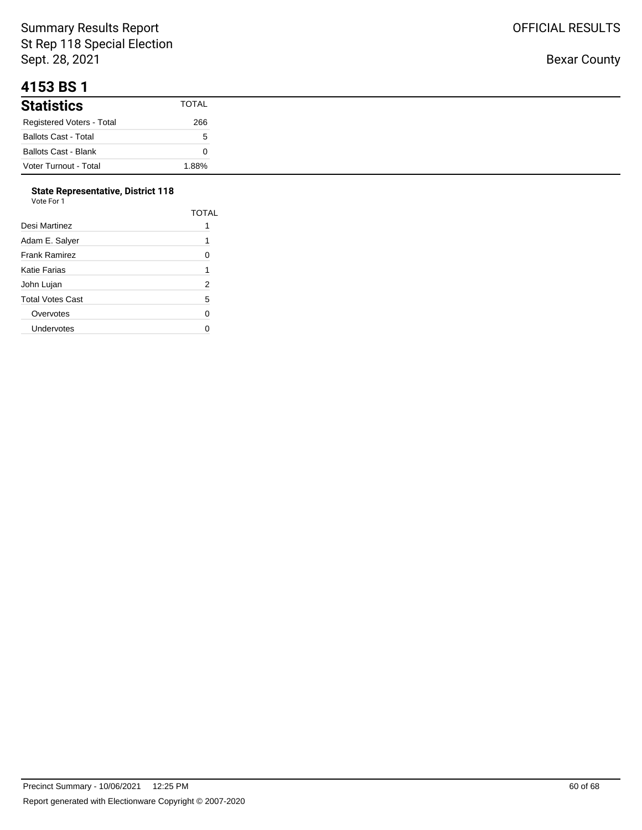## **4153 BS 1**

| <b>Statistics</b>           | TOTAL |
|-----------------------------|-------|
| Registered Voters - Total   | 266   |
| <b>Ballots Cast - Total</b> | b.    |
| <b>Ballots Cast - Blank</b> |       |
| Voter Turnout - Total       | 88% ا |

#### **State Representative, District 118**

| Vote For 1       |                |
|------------------|----------------|
|                  | TOTAL          |
| Desi Martinez    | 1              |
| Adam E. Salyer   | 1              |
| Frank Ramirez    | 0              |
| Katie Farias     | 1              |
| John Lujan       | $\overline{2}$ |
| Total Votes Cast | 5              |
| Overvotes        | 0              |
| Undervotes       | U              |
|                  |                |

OFFICIAL RESULTS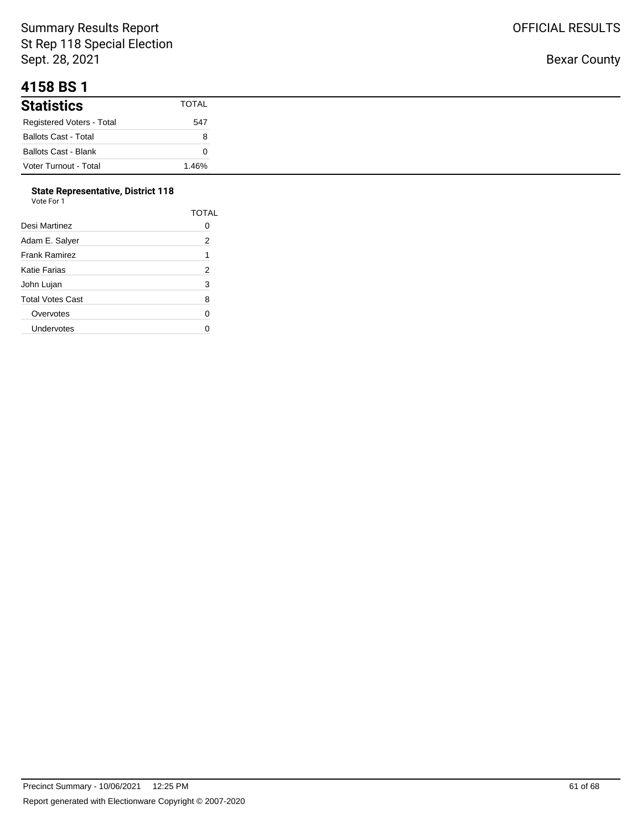## **4158 BS 1**

| <b>Statistics</b>           | <b>TOTAL</b> |
|-----------------------------|--------------|
| Registered Voters - Total   | 547          |
| <b>Ballots Cast - Total</b> | о            |
| <b>Ballots Cast - Blank</b> |              |
| Voter Turnout - Total       | 1.46%        |

#### **State Representative, District 118**

| Vote For 1           |              |
|----------------------|--------------|
|                      | <b>TOTAL</b> |
| Desi Martinez        | 0            |
| Adam E. Salyer       | 2            |
| <b>Frank Ramirez</b> | 1            |
| Katie Farias         | 2            |
| John Lujan           | 3            |
| Total Votes Cast     | 8            |
| Overvotes            | 0            |
| Undervotes           | ი            |
|                      |              |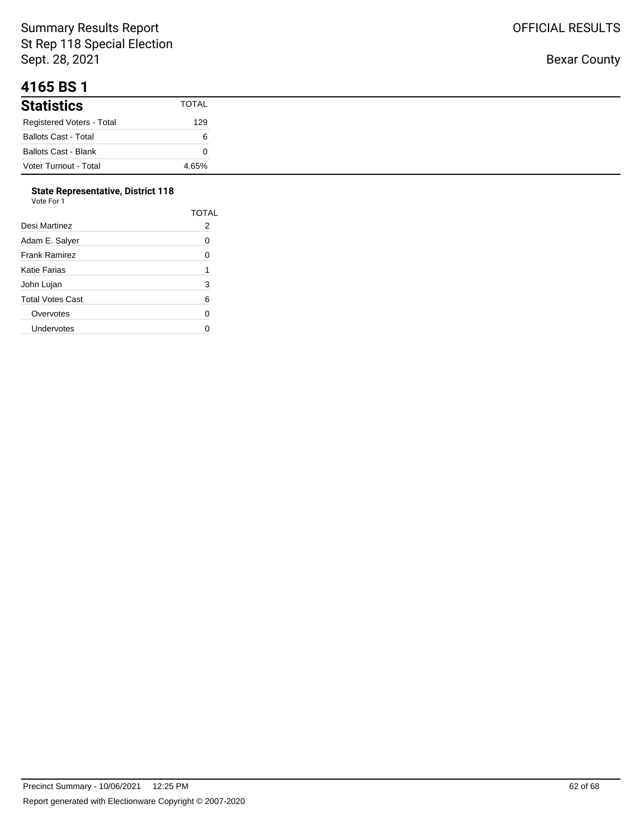## **4165 BS 1**

| <b>Statistics</b>           | TOTAL |
|-----------------------------|-------|
| Registered Voters - Total   | 129   |
| <b>Ballots Cast - Total</b> | 6     |
| <b>Ballots Cast - Blank</b> |       |
| Voter Turnout - Total       | 4.65% |

#### **State Representative, District 118** Vote For 1

| 1 U U U          |       |
|------------------|-------|
|                  | TOTAL |
| Desi Martinez    | 2     |
| Adam E. Salyer   | 0     |
| Frank Ramirez    | 0     |
| Katie Farias     | 1     |
| John Lujan       | 3     |
| Total Votes Cast | 6     |
| Overvotes        | 0     |
| Undervotes       | U     |
|                  |       |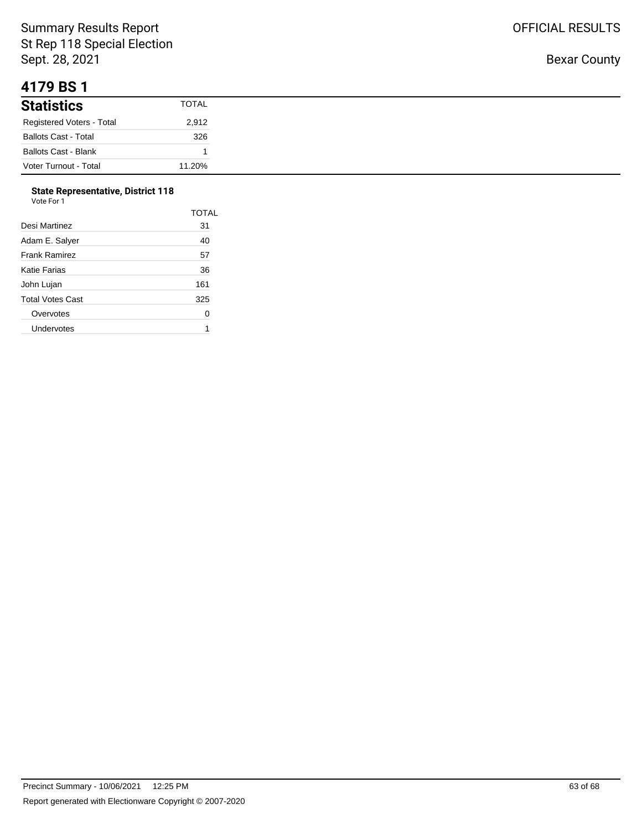#### **4179 BS 1**

| .                           |              |
|-----------------------------|--------------|
| <b>Statistics</b>           | <b>TOTAL</b> |
| Registered Voters - Total   | 2,912        |
| <b>Ballots Cast - Total</b> | 326          |
| <b>Ballots Cast - Blank</b> |              |
| Voter Turnout - Total       | 11.20%       |

# **State Representative, District 118**

| Vote For 1 |  |
|------------|--|
|------------|--|

|                      | TOTAL |
|----------------------|-------|
| Desi Martinez        | 31    |
| Adam E. Salver       | 40    |
| <b>Frank Ramirez</b> | 57    |
| Katie Farias         | 36    |
| John Lujan           | 161   |
| Total Votes Cast     | 325   |
| Overvotes            | 0     |
| Undervotes           |       |
|                      |       |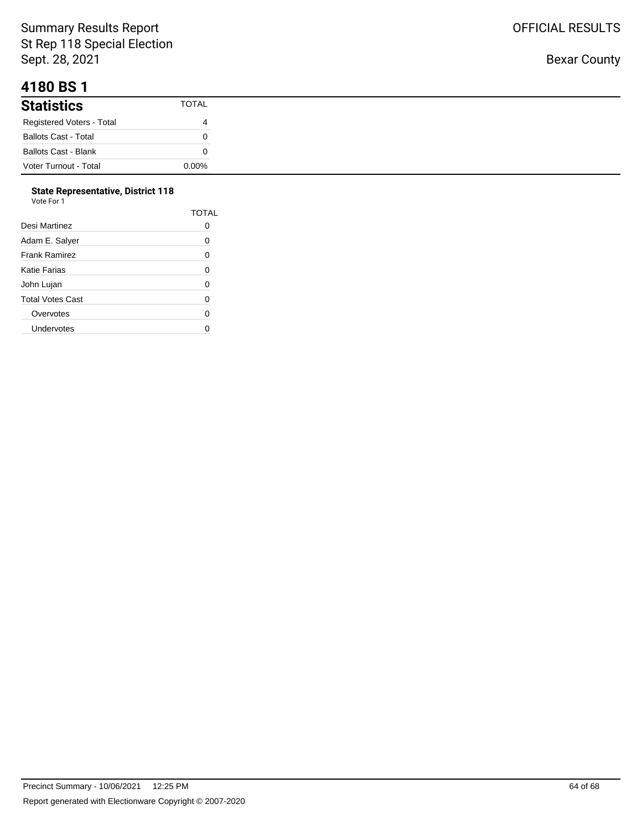## **4180 BS 1**

| <b>Statistics</b>           | TOTAL    |
|-----------------------------|----------|
| Registered Voters - Total   | 4        |
| <b>Ballots Cast - Total</b> |          |
| <b>Ballots Cast - Blank</b> |          |
| Voter Turnout - Total       | $0.00\%$ |

#### **State Representative, District 118**

| Vote For 1       |              |
|------------------|--------------|
|                  | <b>TOTAL</b> |
| Desi Martinez    | 0            |
| Adam E. Salyer   | 0            |
| Frank Ramirez    | 0            |
| Katie Farias     | 0            |
| John Lujan       | 0            |
| Total Votes Cast | 0            |
| Overvotes        | 0            |
| Undervotes       |              |
|                  |              |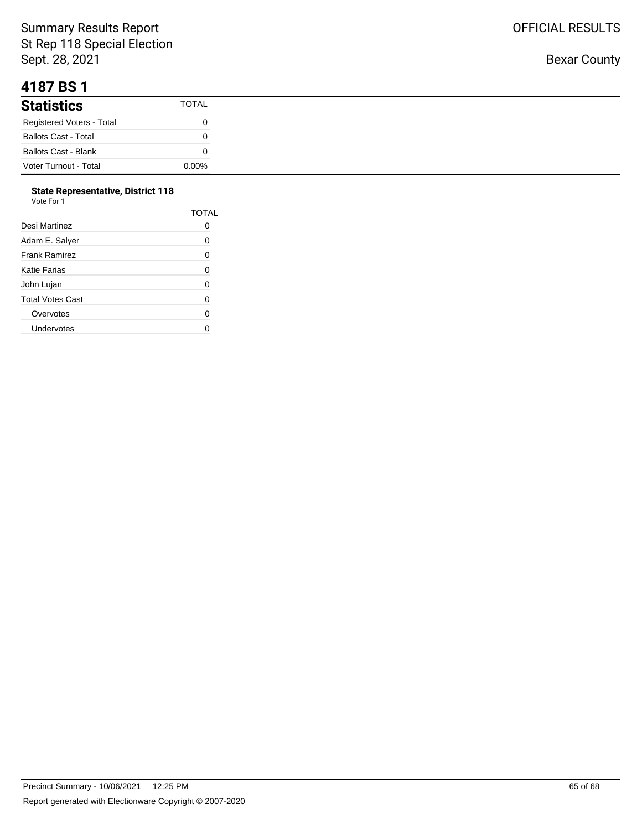#### **4187 BS 1**

| .                           |          |
|-----------------------------|----------|
| <b>Statistics</b>           | TOTAL    |
| Registered Voters - Total   |          |
| <b>Ballots Cast - Total</b> |          |
| <b>Ballots Cast - Blank</b> |          |
| Voter Turnout - Total       | $0.00\%$ |

#### **State Representative, District 118**

| Vote For 1           |       |
|----------------------|-------|
|                      | TOTAL |
| Desi Martinez        | O     |
| Adam E. Salyer       | 0     |
| <b>Frank Ramirez</b> | 0     |
| Katie Farias         | 0     |
| John Lujan           | 0     |
| Total Votes Cast     | 0     |
| Overvotes            | 0     |
| Undervotes           | U     |
|                      |       |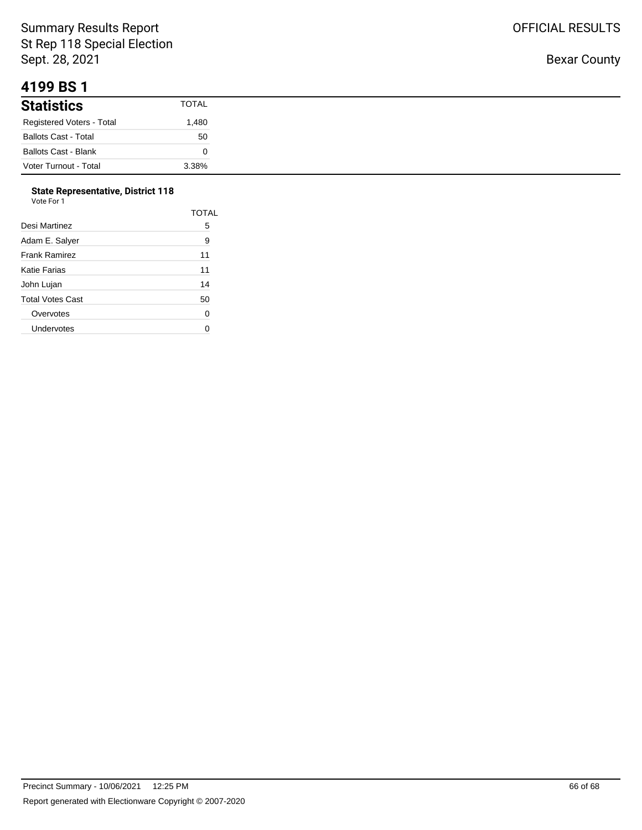#### **4199 BS 1**

| .                           |              |
|-----------------------------|--------------|
| <b>Statistics</b>           | <b>TOTAL</b> |
| Registered Voters - Total   | 480. ا       |
| <b>Ballots Cast - Total</b> | 50           |
| <b>Ballots Cast - Blank</b> |              |
| Voter Turnout - Total       | 3.38%        |

#### **State Representative, District 118**  $V<sub>0</sub>$

| ote For 1/ |  |  |
|------------|--|--|
|            |  |  |

| Desi Martinez        | TOTAL<br>5 |
|----------------------|------------|
| Adam E. Salyer       | 9          |
| <b>Frank Ramirez</b> | 11         |
| Katie Farias         | 11         |
| John Lujan           | 14         |
| Total Votes Cast     | 50         |
| Overvotes            | 0          |
| Undervotes           |            |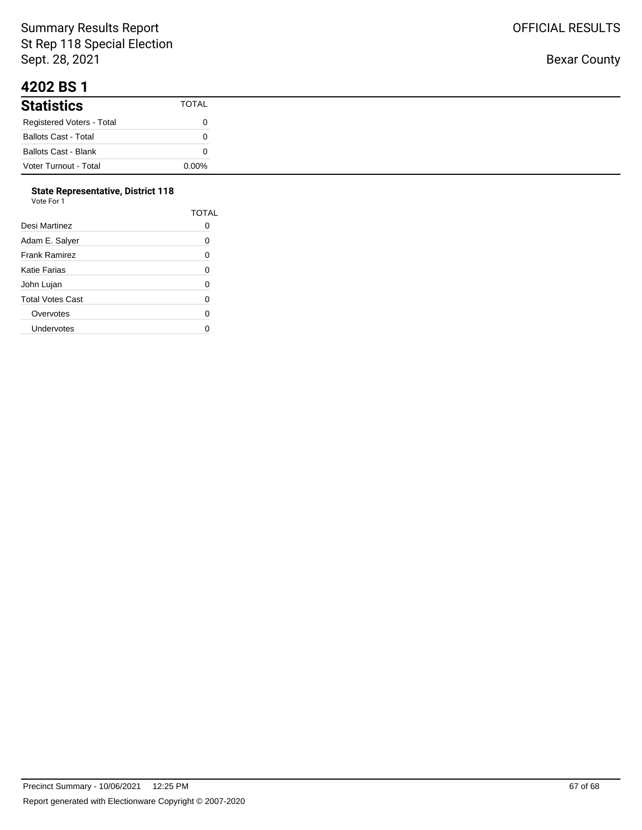#### **4202 BS 1**

| .                           |          |
|-----------------------------|----------|
| <b>Statistics</b>           | TOTAL    |
| Registered Voters - Total   |          |
| <b>Ballots Cast - Total</b> |          |
| Ballots Cast - Blank        |          |
| Voter Turnout - Total       | $0.00\%$ |

#### **State Representative, District 118** Vote For 1

| 1 U U U          |       |
|------------------|-------|
|                  | TOTAL |
| Desi Martinez    | O     |
| Adam E. Salyer   | 0     |
| Frank Ramirez    | 0     |
| Katie Farias     | 0     |
| John Lujan       | 0     |
| Total Votes Cast | 0     |
| Overvotes        | 0     |
| Undervotes       | U     |
|                  |       |